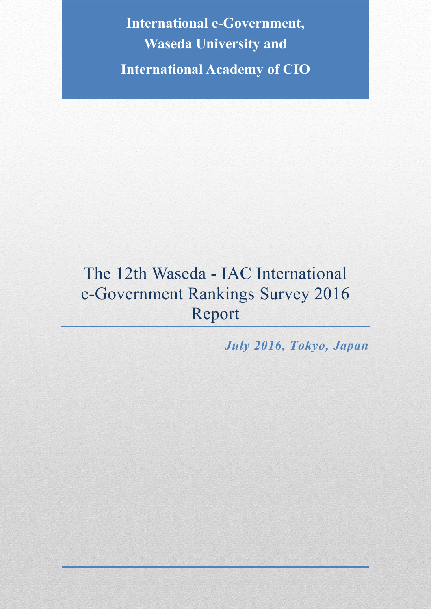**International e-Government, Waseda University and International Academy of CIO**

# The 12th Waseda - IAC International e-Government Rankings Survey 2016 Report

*July 2016, Tokyo, Japan*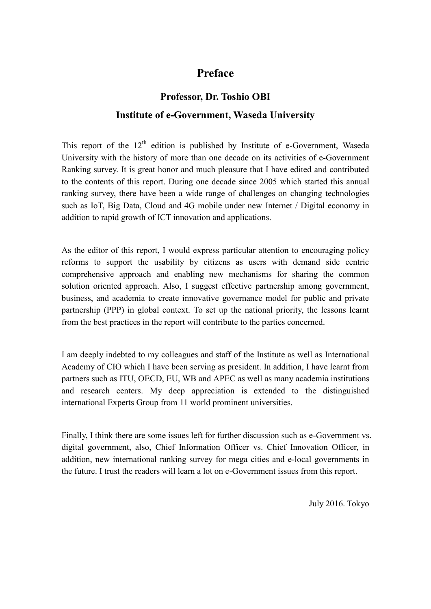# **Preface**

# **Professor, Dr. Toshio OBI Institute of e-Government, Waseda University**

This report of the  $12<sup>th</sup>$  edition is published by Institute of e-Government, Waseda University with the history of more than one decade on its activities of e-Government Ranking survey. It is great honor and much pleasure that I have edited and contributed to the contents of this report. During one decade since 2005 which started this annual ranking survey, there have been a wide range of challenges on changing technologies such as IoT, Big Data, Cloud and 4G mobile under new Internet / Digital economy in addition to rapid growth of ICT innovation and applications.

As the editor of this report, I would express particular attention to encouraging policy reforms to support the usability by citizens as users with demand side centric comprehensive approach and enabling new mechanisms for sharing the common solution oriented approach. Also, I suggest effective partnership among government, business, and academia to create innovative governance model for public and private partnership (PPP) in global context. To set up the national priority, the lessons learnt from the best practices in the report will contribute to the parties concerned.

I am deeply indebted to my colleagues and staff of the Institute as well as International Academy of CIO which I have been serving as president. In addition, I have learnt from partners such as ITU, OECD, EU, WB and APEC as well as many academia institutions and research centers. My deep appreciation is extended to the distinguished international Experts Group from 11 world prominent universities.

Finally, I think there are some issues left for further discussion such as e-Government vs. digital government, also, Chief Information Officer vs. Chief Innovation Officer, in addition, new international ranking survey for mega cities and e-local governments in the future. I trust the readers will learn a lot on e-Government issues from this report.

July 2016. Tokyo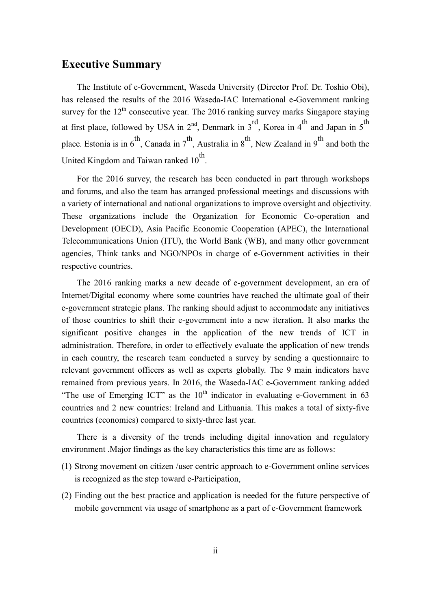# **Executive Summary**

The Institute of e-Government, Waseda University (Director Prof. Dr. Toshio Obi), has released the results of the 2016 Waseda-IAC International e-Government ranking survey for the  $12<sup>th</sup>$  consecutive year. The 2016 ranking survey marks Singapore staying at first place, followed by USA in  $2<sup>nd</sup>$ , Denmark in  $3<sup>rd</sup>$ , Korea in 4<sup>th</sup> and Japan in 5<sup>th</sup> place. Estonia is in  $6^{th}$ , Canada in  $7^{th}$ , Australia in  $8^{th}$ , New Zealand in  $9^{th}$  and both the United Kingdom and Taiwan ranked  $10^{th}$ .

For the 2016 survey, the research has been conducted in part through workshops and forums, and also the team has arranged professional meetings and discussions with a variety of international and national organizations to improve oversight and objectivity. These organizations include the Organization for Economic Co-operation and Development (OECD), Asia Pacific Economic Cooperation (APEC), the International Telecommunications Union (ITU), the World Bank (WB), and many other government agencies, Think tanks and NGO/NPOs in charge of e-Government activities in their respective countries.

The 2016 ranking marks a new decade of e-government development, an era of Internet/Digital economy where some countries have reached the ultimate goal of their e-government strategic plans. The ranking should adjust to accommodate any initiatives of those countries to shift their e-government into a new iteration. It also marks the significant positive changes in the application of the new trends of ICT in administration. Therefore, in order to effectively evaluate the application of new trends in each country, the research team conducted a survey by sending a questionnaire to relevant government officers as well as experts globally. The 9 main indicators have remained from previous years. In 2016, the Waseda-IAC e-Government ranking added "The use of Emerging ICT" as the  $10<sup>th</sup>$  indicator in evaluating e-Government in 63 countries and 2 new countries: Ireland and Lithuania. This makes a total of sixty-five countries (economies) compared to sixty-three last year.

There is a diversity of the trends including digital innovation and regulatory environment .Major findings as the key characteristics this time are as follows:

- (1) Strong movement on citizen /user centric approach to e-Government online services is recognized as the step toward e-Participation,
- (2) Finding out the best practice and application is needed for the future perspective of mobile government via usage of smartphone as a part of e-Government framework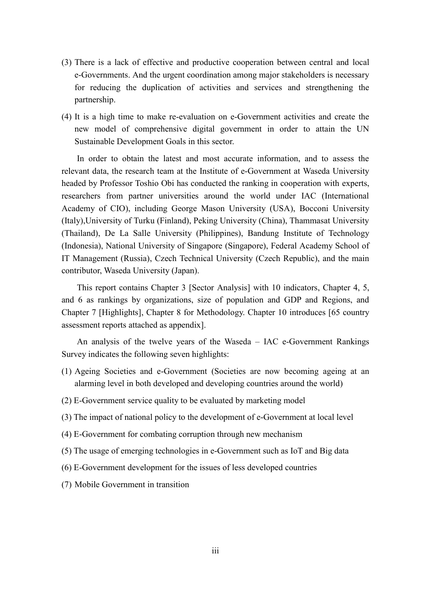- (3) There is a lack of effective and productive cooperation between central and local e-Governments. And the urgent coordination among major stakeholders is necessary for reducing the duplication of activities and services and strengthening the partnership.
- (4) It is a high time to make re-evaluation on e-Government activities and create the new model of comprehensive digital government in order to attain the UN Sustainable Development Goals in this sector.

In order to obtain the latest and most accurate information, and to assess the relevant data, the research team at the Institute of e-Government at Waseda University headed by Professor Toshio Obi has conducted the ranking in cooperation with experts, researchers from partner universities around the world under IAC (International Academy of CIO), including George Mason University (USA), Bocconi University (Italy),University of Turku (Finland), Peking University (China), Thammasat University (Thailand), De La Salle University (Philippines), Bandung Institute of Technology (Indonesia), National University of Singapore (Singapore), Federal Academy School of IT Management (Russia), Czech Technical University (Czech Republic), and the main contributor, Waseda University (Japan).

This report contains Chapter 3 [Sector Analysis] with 10 indicators, Chapter 4, 5, and 6 as rankings by organizations, size of population and GDP and Regions, and Chapter 7 [Highlights], Chapter 8 for Methodology. Chapter 10 introduces [65 country assessment reports attached as appendix].

An analysis of the twelve years of the Waseda – IAC e-Government Rankings Survey indicates the following seven highlights:

- (1) Ageing Societies and e-Government (Societies are now becoming ageing at an alarming level in both developed and developing countries around the world)
- (2) E-Government service quality to be evaluated by marketing model
- (3) The impact of national policy to the development of e-Government at local level
- (4) E-Government for combating corruption through new mechanism
- (5) The usage of emerging technologies in e-Government such as IoT and Big data
- (6) E-Government development for the issues of less developed countries
- (7) Mobile Government in transition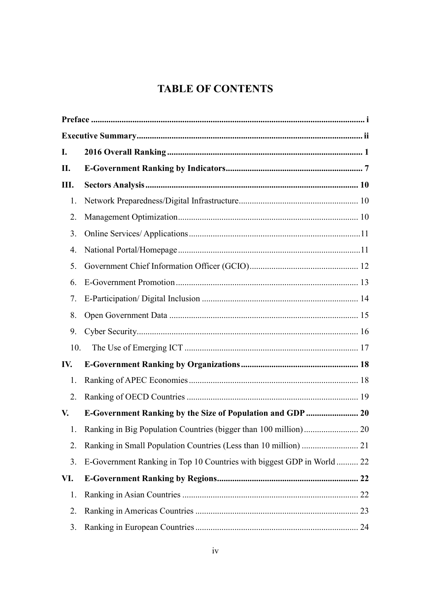# **TABLE OF CONTENTS**

| I.  |                                                                       |    |
|-----|-----------------------------------------------------------------------|----|
| П.  |                                                                       |    |
| Ш.  |                                                                       |    |
| 1.  |                                                                       |    |
| 2.  |                                                                       |    |
| 3.  |                                                                       |    |
| 4.  |                                                                       |    |
| 5.  |                                                                       |    |
| 6.  |                                                                       |    |
| 7.  |                                                                       |    |
| 8.  |                                                                       |    |
| 9.  |                                                                       |    |
| 10. |                                                                       |    |
| IV. |                                                                       |    |
| 1.  |                                                                       |    |
| 2.  |                                                                       |    |
| V.  | <b>E-Government Ranking by the Size of Population and GDP </b> 20     |    |
| 1.  |                                                                       |    |
| 2.  |                                                                       |    |
| 3.  | E-Government Ranking in Top 10 Countries with biggest GDP in World 22 |    |
| VI. |                                                                       |    |
| 1.  |                                                                       |    |
| 2.  |                                                                       |    |
| 3.  |                                                                       | 24 |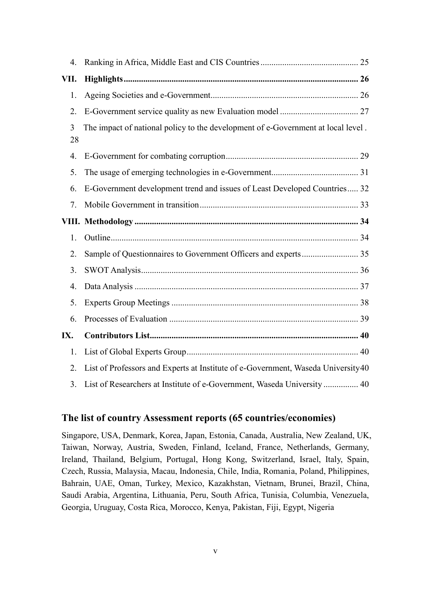| 4.             |                                                                                  |  |
|----------------|----------------------------------------------------------------------------------|--|
| VII.           |                                                                                  |  |
| 1.             |                                                                                  |  |
| 2.             |                                                                                  |  |
| 3<br>28        | The impact of national policy to the development of e-Government at local level. |  |
| 4.             |                                                                                  |  |
| 5.             |                                                                                  |  |
| 6.             | E-Government development trend and issues of Least Developed Countries 32        |  |
| 7.             |                                                                                  |  |
|                |                                                                                  |  |
| 1.             |                                                                                  |  |
| 2.             |                                                                                  |  |
| 3.             |                                                                                  |  |
| 4.             |                                                                                  |  |
| 5.             |                                                                                  |  |
| 6.             |                                                                                  |  |
| IX.            |                                                                                  |  |
| 1.             |                                                                                  |  |
| 2.             | List of Professors and Experts at Institute of e-Government, Waseda University40 |  |
| 3 <sub>1</sub> | List of Researchers at Institute of e-Government, Waseda University  40          |  |

## **The list of country Assessment reports (65 countries/economies)**

Singapore, USA, Denmark, Korea, Japan, Estonia, Canada, Australia, New Zealand, UK, Taiwan, Norway, Austria, Sweden, Finland, Iceland, France, Netherlands, Germany, Ireland, Thailand, Belgium, Portugal, Hong Kong, Switzerland, Israel, Italy, Spain, Czech, Russia, Malaysia, Macau, Indonesia, Chile, India, Romania, Poland, Philippines, Bahrain, UAE, Oman, Turkey, Mexico, Kazakhstan, Vietnam, Brunei, Brazil, China, Saudi Arabia, Argentina, Lithuania, Peru, South Africa, Tunisia, Columbia, Venezuela, Georgia, Uruguay, Costa Rica, Morocco, Kenya, Pakistan, Fiji, Egypt, Nigeria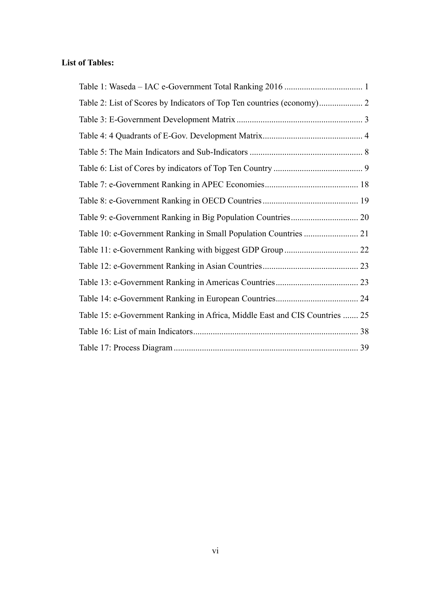# **List of Tables:**

| Table 15: e-Government Ranking in Africa, Middle East and CIS Countries  25 |  |
|-----------------------------------------------------------------------------|--|
|                                                                             |  |
|                                                                             |  |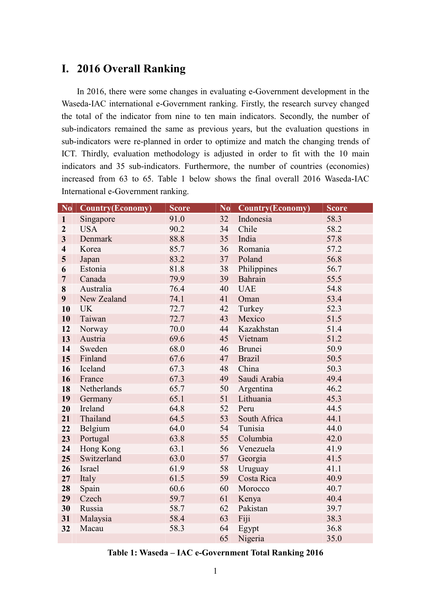# **I. 2016 Overall Ranking**

In 2016, there were some changes in evaluating e-Government development in the Waseda-IAC international e-Government ranking. Firstly, the research survey changed the total of the indicator from nine to ten main indicators. Secondly, the number of sub-indicators remained the same as previous years, but the evaluation questions in sub-indicators were re-planned in order to optimize and match the changing trends of ICT. Thirdly, evaluation methodology is adjusted in order to fit with the 10 main indicators and 35 sub-indicators. Furthermore, the number of countries (economies) increased from 63 to 65. Table 1 below shows the final overall 2016 Waseda-IAC International e-Government ranking.

| N <sub>0</sub>          | <b>Country(Economy)</b> | <b>Score</b> | N <sub>0</sub> | <b>Country(Economy)</b> | Score |
|-------------------------|-------------------------|--------------|----------------|-------------------------|-------|
| $\mathbf{1}$            | Singapore               | 91.0         | 32             | Indonesia               | 58.3  |
| $\overline{2}$          | <b>USA</b>              | 90.2         | 34             | Chile                   | 58.2  |
| $\overline{\mathbf{3}}$ | Denmark                 | 88.8         | 35             | India                   | 57.8  |
| $\overline{\mathbf{4}}$ | Korea                   | 85.7         | 36             | Romania                 | 57.2  |
| 5                       | Japan                   | 83.2         | 37             | Poland                  | 56.8  |
| 6                       | Estonia                 | 81.8         | 38             | Philippines             | 56.7  |
| $\overline{7}$          | Canada                  | 79.9         | 39             | Bahrain                 | 55.5  |
| 8                       | Australia               | 76.4         | 40             | <b>UAE</b>              | 54.8  |
| 9                       | New Zealand             | 74.1         | 41             | Oman                    | 53.4  |
| 10                      | <b>UK</b>               | 72.7         | 42             | Turkey                  | 52.3  |
| 10                      | Taiwan                  | 72.7         | 43             | Mexico                  | 51.5  |
| 12                      | Norway                  | 70.0         | 44             | Kazakhstan              | 51.4  |
| 13                      | Austria                 | 69.6         | 45             | Vietnam                 | 51.2  |
| 14                      | Sweden                  | 68.0         | 46             | <b>Brunei</b>           | 50.9  |
| 15                      | Finland                 | 67.6         | 47             | <b>Brazil</b>           | 50.5  |
| 16                      | Iceland                 | 67.3         | 48             | China                   | 50.3  |
| 16                      | France                  | 67.3         | 49             | Saudi Arabia            | 49.4  |
| 18                      | Netherlands             | 65.7         | 50             | Argentina               | 46.2  |
| 19                      | Germany                 | 65.1         | 51             | Lithuania               | 45.3  |
| 20                      | Ireland                 | 64.8         | 52             | Peru                    | 44.5  |
| 21                      | Thailand                | 64.5         | 53             | South Africa            | 44.1  |
| 22                      | Belgium                 | 64.0         | 54             | Tunisia                 | 44.0  |
| 23                      | Portugal                | 63.8         | 55             | Columbia                | 42.0  |
| 24                      | Hong Kong               | 63.1         | 56             | Venezuela               | 41.9  |
| 25                      | Switzerland             | 63.0         | 57             | Georgia                 | 41.5  |
| 26                      | Israel                  | 61.9         | 58             | Uruguay                 | 41.1  |
| 27                      | Italy                   | 61.5         | 59             | Costa Rica              | 40.9  |
| 28                      | Spain                   | 60.6         | 60             | Morocco                 | 40.7  |
| 29                      | Czech                   | 59.7         | 61             | Kenya                   | 40.4  |
| 30                      | Russia                  | 58.7         | 62             | Pakistan                | 39.7  |
| 31                      | Malaysia                | 58.4         | 63             | Fiji                    | 38.3  |
| 32                      | Macau                   | 58.3         | 64             | Egypt                   | 36.8  |
|                         |                         |              | 65             | Nigeria                 | 35.0  |

**Table 1: Waseda – IAC e-Government Total Ranking 2016**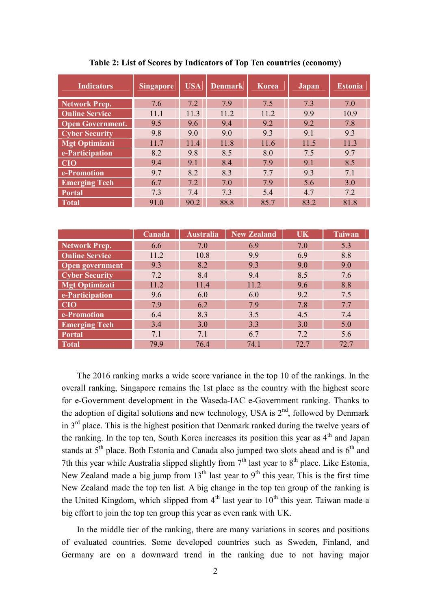| <b>Indicators</b>       | <b>Singapore</b> | <b>USA</b> | <b>Denmark</b> | <b>Korea</b> | Japan | <b>Estonia</b> |
|-------------------------|------------------|------------|----------------|--------------|-------|----------------|
| <b>Network Prep.</b>    | 7.6              | 7.2        | 7.9            | 7.5          | 7.3   | 7.0            |
| <b>Online Service</b>   | 11.1             | 11.3       | 11.2           | 11.2         | 9.9   | 10.9           |
| <b>Open Government.</b> | 9.5              | 9.6        | 9.4            | 9.2          | 9.2   | 7.8            |
| <b>Cyber Security</b>   | 9.8              | 9.0        | 9.0            | 9.3          | 9.1   | 9.3            |
| <b>Mgt Optimizati</b>   | 11.7             | 11.4       | 11.8           | 11.6         | 11.5  | 11.3           |
| e-Participation         | 8.2              | 9.8        | 8.5            | 8.0          | 7.5   | 9.7            |
| <b>CIO</b>              | 9.4              | 9.1        | 8.4            | 79           | 9.1   | 8.5            |
| e-Promotion             | 9.7              | 8.2        | 8.3            | 7.7          | 9.3   | 7.1            |
| <b>Emerging Tech</b>    | 6.7              | 7.2        | 7.0            | 7.9          | 5.6   | 3.0            |
| <b>Portal</b>           | 7.3              | 7.4        | 7.3            | 5.4          | 4.7   | 7.2            |
| <b>Total</b>            | 91.0             | 90.2       | 88.8           | 85.7         | 83.2  | 81.8           |

**Table 2: List of Scores by Indicators of Top Ten countries (economy)**

|                        | Canada | <b>Australia</b> | <b>New Zealand</b> | <b>UK</b> | <b>Taiwan</b> |
|------------------------|--------|------------------|--------------------|-----------|---------------|
| Network Prep.          | 6.6    | 7.0              | 6.9                | 7.0       | 5.3           |
| <b>Online Service</b>  | 11.2   | 10.8             | 9.9                | 6.9       | 8.8           |
| <b>Open government</b> | 9.3    | 8.2              | 9.3                | 9.0       | 9.0           |
| <b>Cyber Security</b>  | 7.2    | 8.4              | 9.4                | 8.5       | 7.6           |
| <b>Mgt Optimizati</b>  | 11.2   | 11.4             | 11.2               | 9.6       | 8.8           |
| e-Participation        | 9.6    | 6.0              | 6.0                | 9.2       | 7.5           |
| <b>CIO</b>             | 7.9    | 6.2              | 7.9                | 7.8       | 7.7           |
| e-Promotion            | 6.4    | 8.3              | 3.5                | 4.5       | 7.4           |
| <b>Emerging Tech</b>   | 3.4    | 3.0              | 3.3                | 3.0       | 5.0           |
| <b>Portal</b>          | 7.1    | 7.1              | 6.7                | 7.2       | 5.6           |
| <b>Total</b>           | 79.9   | 76.4             | 74.1               | 72.7      | 72.7          |

The 2016 ranking marks a wide score variance in the top 10 of the rankings. In the overall ranking, Singapore remains the 1st place as the country with the highest score for e-Government development in the Waseda-IAC e-Government ranking. Thanks to the adoption of digital solutions and new technology, USA is  $2<sup>nd</sup>$ , followed by Denmark in  $3<sup>rd</sup>$  place. This is the highest position that Denmark ranked during the twelve years of the ranking. In the top ten, South Korea increases its position this year as  $4<sup>th</sup>$  and Japan stands at  $5<sup>th</sup>$  place. Both Estonia and Canada also jumped two slots ahead and is  $6<sup>th</sup>$  and 7th this year while Australia slipped slightly from  $7<sup>th</sup>$  last year to  $8<sup>th</sup>$  place. Like Estonia, New Zealand made a big jump from  $13<sup>th</sup>$  last year to  $9<sup>th</sup>$  this year. This is the first time New Zealand made the top ten list. A big change in the top ten group of the ranking is the United Kingdom, which slipped from  $4<sup>th</sup>$  last year to  $10<sup>th</sup>$  this year. Taiwan made a big effort to join the top ten group this year as even rank with UK.

In the middle tier of the ranking, there are many variations in scores and positions of evaluated countries. Some developed countries such as Sweden, Finland, and Germany are on a downward trend in the ranking due to not having major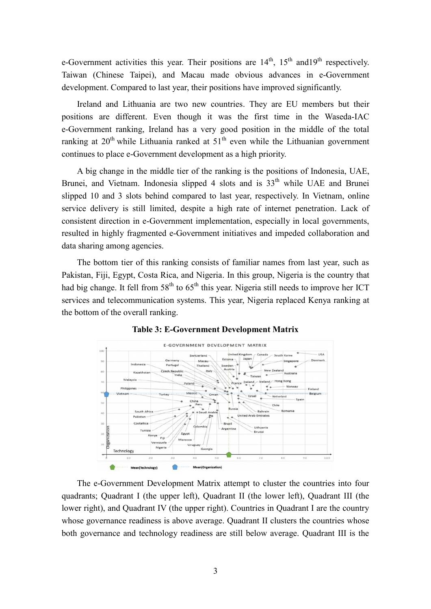e-Government activities this year. Their positions are  $14<sup>th</sup>$ ,  $15<sup>th</sup>$  and  $19<sup>th</sup>$  respectively. Taiwan (Chinese Taipei), and Macau made obvious advances in e-Government development. Compared to last year, their positions have improved significantly.

Ireland and Lithuania are two new countries. They are EU members but their positions are different. Even though it was the first time in the Waseda-IAC e-Government ranking, Ireland has a very good position in the middle of the total ranking at  $20<sup>th</sup>$  while Lithuania ranked at  $51<sup>th</sup>$  even while the Lithuanian government continues to place e-Government development as a high priority.

A big change in the middle tier of the ranking is the positions of Indonesia, UAE, Brunei, and Vietnam. Indonesia slipped 4 slots and is  $33<sup>th</sup>$  while UAE and Brunei slipped 10 and 3 slots behind compared to last year, respectively. In Vietnam, online service delivery is still limited, despite a high rate of internet penetration. Lack of consistent direction in e-Government implementation, especially in local governments, resulted in highly fragmented e-Government initiatives and impeded collaboration and data sharing among agencies.

The bottom tier of this ranking consists of familiar names from last year, such as Pakistan, Fiji, Egypt, Costa Rica, and Nigeria. In this group, Nigeria is the country that had big change. It fell from  $58<sup>th</sup>$  to  $65<sup>th</sup>$  this year. Nigeria still needs to improve her ICT services and telecommunication systems. This year, Nigeria replaced Kenya ranking at the bottom of the overall ranking.



**Table 3: E-Government Development Matrix**

The e-Government Development Matrix attempt to cluster the countries into four quadrants; Quadrant I (the upper left), Quadrant II (the lower left), Quadrant III (the lower right), and Quadrant IV (the upper right). Countries in Quadrant I are the country whose governance readiness is above average. Quadrant II clusters the countries whose both governance and technology readiness are still below average. Quadrant III is the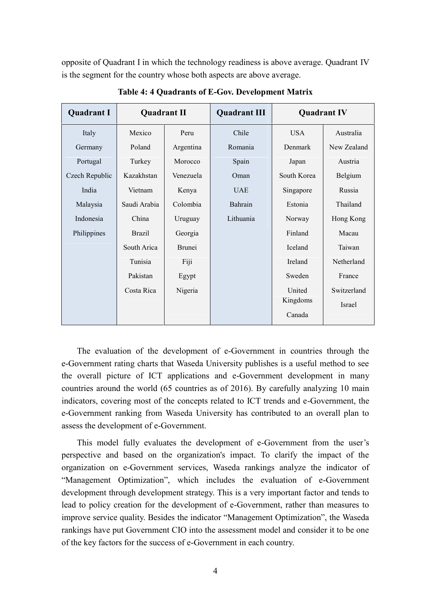opposite of Quadrant I in which the technology readiness is above average. Quadrant IV is the segment for the country whose both aspects are above average.

| <b>Quadrant I</b> | <b>Quadrant II</b> |               | <b>Quadrant III</b> | <b>Quadrant IV</b> |             |
|-------------------|--------------------|---------------|---------------------|--------------------|-------------|
| Italy             | Mexico             | Peru          | Chile               | <b>USA</b>         | Australia   |
| Germany           | Poland             | Argentina     | Romania             | Denmark            | New Zealand |
| Portugal          | Turkey             | Morocco       | Spain               | Japan              | Austria     |
| Czech Republic    | Kazakhstan         | Venezuela     | Oman                | South Korea        | Belgium     |
| India             | Vietnam            | Kenya         | <b>UAE</b>          | Singapore          | Russia      |
| Malaysia          | Saudi Arabia       | Colombia      | Bahrain             | Estonia            | Thailand    |
| Indonesia         | China              | Uruguay       | Lithuania           | Norway             | Hong Kong   |
| Philippines       | <b>Brazil</b>      | Georgia       |                     | Finland            | Macau       |
|                   | South Arica        | <b>Brunei</b> |                     | Iceland            | Taiwan      |
|                   | Tunisia            | Fiji          |                     | Ireland            | Netherland  |
|                   | Pakistan           | Egypt         |                     | Sweden             | France      |
|                   | Costa Rica         | Nigeria       |                     | United             | Switzerland |
|                   |                    |               |                     | Kingdoms           | Israel      |
|                   |                    |               |                     | Canada             |             |

**Table 4: 4 Quadrants of E-Gov. Development Matrix**

The evaluation of the development of e-Government in countries through the e-Government rating charts that Waseda University publishes is a useful method to see the overall picture of ICT applications and e-Government development in many countries around the world (65 countries as of 2016). By carefully analyzing 10 main indicators, covering most of the concepts related to ICT trends and e-Government, the e-Government ranking from Waseda University has contributed to an overall plan to assess the development of e-Government.

This model fully evaluates the development of e-Government from the user's perspective and based on the organization's impact. To clarify the impact of the organization on e-Government services, Waseda rankings analyze the indicator of "Management Optimization", which includes the evaluation of e-Government development through development strategy. This is a very important factor and tends to lead to policy creation for the development of e-Government, rather than measures to improve service quality. Besides the indicator "Management Optimization", the Waseda rankings have put Government CIO into the assessment model and consider it to be one of the key factors for the success of e-Government in each country.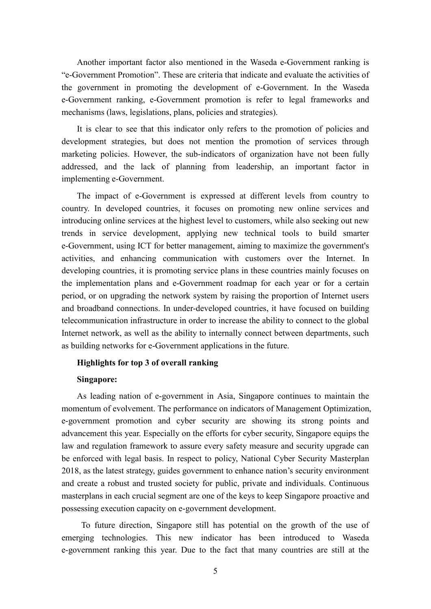Another important factor also mentioned in the Waseda e-Government ranking is "e-Government Promotion". These are criteria that indicate and evaluate the activities of the government in promoting the development of e-Government. In the Waseda e-Government ranking, e-Government promotion is refer to legal frameworks and mechanisms (laws, legislations, plans, policies and strategies).

It is clear to see that this indicator only refers to the promotion of policies and development strategies, but does not mention the promotion of services through marketing policies. However, the sub-indicators of organization have not been fully addressed, and the lack of planning from leadership, an important factor in implementing e-Government.

The impact of e-Government is expressed at different levels from country to country. In developed countries, it focuses on promoting new online services and introducing online services at the highest level to customers, while also seeking out new trends in service development, applying new technical tools to build smarter e-Government, using ICT for better management, aiming to maximize the government's activities, and enhancing communication with customers over the Internet. In developing countries, it is promoting service plans in these countries mainly focuses on the implementation plans and e-Government roadmap for each year or for a certain period, or on upgrading the network system by raising the proportion of Internet users and broadband connections. In under-developed countries, it have focused on building telecommunication infrastructure in order to increase the ability to connect to the global Internet network, as well as the ability to internally connect between departments, such as building networks for e-Government applications in the future.

#### **Highlights for top 3 of overall ranking**

#### **Singapore:**

As leading nation of e-government in Asia, Singapore continues to maintain the momentum of evolvement. The performance on indicators of Management Optimization, e-government promotion and cyber security are showing its strong points and advancement this year. Especially on the efforts for cyber security, Singapore equips the law and regulation framework to assure every safety measure and security upgrade can be enforced with legal basis. In respect to policy, National Cyber Security Masterplan 2018, as the latest strategy, guides government to enhance nation's security environment and create a robust and trusted society for public, private and individuals. Continuous masterplans in each crucial segment are one of the keys to keep Singapore proactive and possessing execution capacity on e-government development.

To future direction, Singapore still has potential on the growth of the use of emerging technologies. This new indicator has been introduced to Waseda e-government ranking this year. Due to the fact that many countries are still at the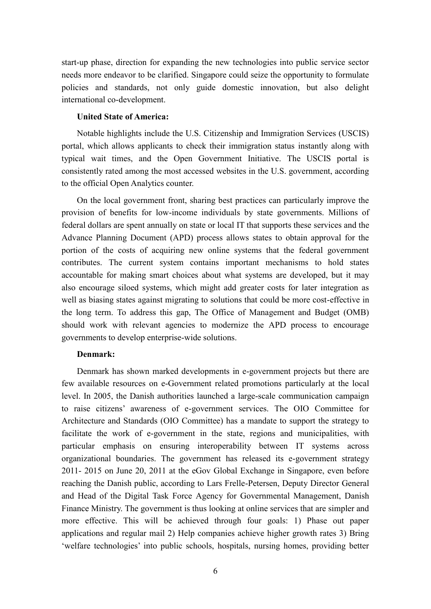start-up phase, direction for expanding the new technologies into public service sector needs more endeavor to be clarified. Singapore could seize the opportunity to formulate policies and standards, not only guide domestic innovation, but also delight international co-development.

#### **United State of America:**

Notable highlights include the U.S. Citizenship and Immigration Services (USCIS) portal, which allows applicants to check their immigration status instantly along with typical wait times, and the Open Government Initiative. The USCIS portal is consistently rated among the most accessed websites in the U.S. government, according to the official Open Analytics counter.

On the local government front, sharing best practices can particularly improve the provision of benefits for low-income individuals by state governments. Millions of federal dollars are spent annually on state or local IT that supports these services and the Advance Planning Document (APD) process allows states to obtain approval for the portion of the costs of acquiring new online systems that the federal government contributes. The current system contains important mechanisms to hold states accountable for making smart choices about what systems are developed, but it may also encourage siloed systems, which might add greater costs for later integration as well as biasing states against migrating to solutions that could be more cost-effective in the long term. To address this gap, The Office of Management and Budget (OMB) should work with relevant agencies to modernize the APD process to encourage governments to develop enterprise-wide solutions.

#### **Denmark:**

Denmark has shown marked developments in e-government projects but there are few available resources on e-Government related promotions particularly at the local level. In 2005, the Danish authorities launched a large-scale communication campaign to raise citizens' awareness of e-government services. The OIO Committee for Architecture and Standards (OIO Committee) has a mandate to support the strategy to facilitate the work of e-government in the state, regions and municipalities, with particular emphasis on ensuring interoperability between IT systems across organizational boundaries. The government has released its e-government strategy 2011- 2015 on June 20, 2011 at the eGov Global Exchange in Singapore, even before reaching the Danish public, according to Lars Frelle-Petersen, Deputy Director General and Head of the Digital Task Force Agency for Governmental Management, Danish Finance Ministry. The government is thus looking at online services that are simpler and more effective. This will be achieved through four goals: 1) Phase out paper applications and regular mail 2) Help companies achieve higher growth rates 3) Bring 'welfare technologies' into public schools, hospitals, nursing homes, providing better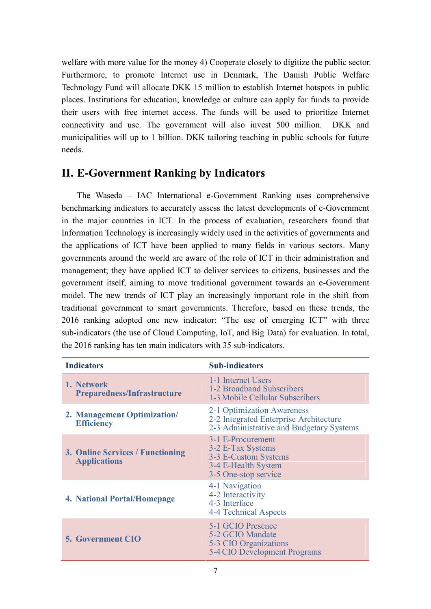welfare with more value for the money 4) Cooperate closely to digitize the public sector. Furthermore, to promote Internet use in Denmark, The Danish Public Welfare Technology Fund will allocate DKK 15 million to establish Internet hotspots in public places. Institutions for education, knowledge or culture can apply for funds to provide their users with free internet access. The funds will be used to prioritize Internet connectivity and use. The government will also invest 500 million. DKK and municipalities will up to 1 billion. DKK tailoring teaching in public schools for future needs.

# **II. E-Government Ranking by Indicators**

The Waseda – IAC International e-Government Ranking uses comprehensive benchmarking indicators to accurately assess the latest developments of e-Government in the major countries in ICT. In the process of evaluation, researchers found that Information Technology is increasingly widely used in the activities of governments and the applications of ICT have been applied to many fields in various sectors. Many governments around the world are aware of the role of ICT in their administration and management; they have applied ICT to deliver services to citizens, businesses and the government itself, aiming to move traditional government towards an e-Government model. The new trends of ICT play an increasingly important role in the shift from traditional government to smart governments. Therefore, based on these trends, the 2016 ranking adopted one new indicator: "The use of emerging ICT" with three sub-indicators (the use of Cloud Computing, IoT, and Big Data) for evaluation. In total, the 2016 ranking has ten main indicators with 35 sub-indicators.

| <b>Indicators</b>                                              | <b>Sub-indicators</b>                                                                                            |  |  |  |
|----------------------------------------------------------------|------------------------------------------------------------------------------------------------------------------|--|--|--|
| 1. Network<br><b>Preparedness/Infrastructure</b>               | 1-1 Internet Users<br>1-2 Broadband Subscribers<br>1-3 Mobile Cellular Subscribers                               |  |  |  |
| 2. Management Optimization/<br><b>Efficiency</b>               | 2-1 Optimization Awareness<br>2-2 Integrated Enterprise Architecture<br>2-3 Administrative and Budgetary Systems |  |  |  |
| <b>3. Online Services / Functioning</b><br><b>Applications</b> | 3-1 E-Procurement<br>3-2 E-Tax Systems<br>3-3 E-Custom Systems<br>3-4 E-Health System<br>3-5 One-stop service    |  |  |  |
| <b>4. National Portal/Homepage</b>                             | 4-1 Navigation<br>4-2 Interactivity<br>4-3 Interface<br>4-4 Technical Aspects                                    |  |  |  |
| <b>5. Government CIO</b>                                       | 5-1 GCIO Presence<br>5-2 GCIO Mandate<br>5-3 CIO Organizations<br>5-4 CIO Development Programs                   |  |  |  |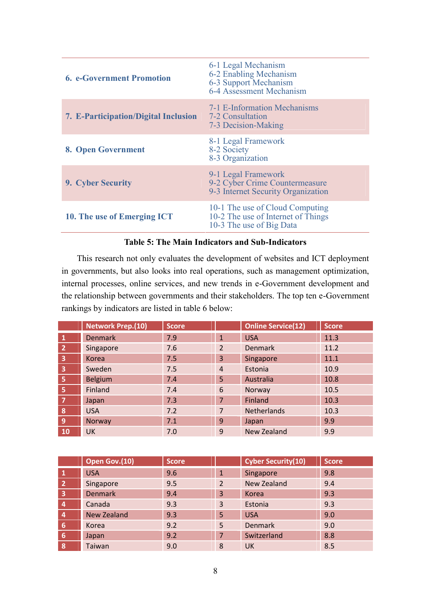| <b>6. e-Government Promotion</b>     | 6-1 Legal Mechanism<br>6-2 Enabling Mechanism<br>6-3 Support Mechanism<br>6-4 Assessment Mechanism |
|--------------------------------------|----------------------------------------------------------------------------------------------------|
| 7. E-Participation/Digital Inclusion | 7-1 E-Information Mechanisms<br>7-2 Consultation<br>7-3 Decision-Making                            |
| 8. Open Government                   | 8-1 Legal Framework<br>8-2 Society<br>8-3 Organization                                             |
| 9. Cyber Security                    | 9-1 Legal Framework<br>9-2 Cyber Crime Countermeasure<br>9-3 Internet Security Organization        |
| 10. The use of Emerging ICT          | 10-1 The use of Cloud Computing<br>10-2 The use of Internet of Things<br>10-3 The use of Big Data  |

#### **Table 5: The Main Indicators and Sub-Indicators**

This research not only evaluates the development of websites and ICT deployment in governments, but also looks into real operations, such as management optimization, internal processes, online services, and new trends in e-Government development and the relationship between governments and their stakeholders. The top ten e-Government rankings by indicators are listed in table 6 below:

|                         | <b>Network Prep.(10)</b> | <b>Score</b> |                | <b>Online Service(12)</b> | Score |
|-------------------------|--------------------------|--------------|----------------|---------------------------|-------|
| $\mathbf{1}$            | <b>Denmark</b>           | 7.9          | $\mathbf{1}$   | <b>USA</b>                | 11.3  |
| $\overline{2}$          | Singapore                | 7.6          | $\overline{2}$ | <b>Denmark</b>            | 11.2  |
| $\overline{\mathbf{3}}$ | Korea                    | 7.5          | 3              | Singapore                 | 11.1  |
| $\overline{\mathbf{3}}$ | Sweden                   | 7.5          | $\overline{4}$ | Estonia                   | 10.9  |
| -5                      | <b>Belgium</b>           | 7.4          | 5              | Australia                 | 10.8  |
| -5                      | Finland                  | 7.4          | 6              | Norway                    | 10.5  |
| $\overline{7}$          | Japan                    | 7.3          | $\overline{7}$ | Finland                   | 10.3  |
| 8                       | <b>USA</b>               | 7.2          | 7              | <b>Netherlands</b>        | 10.3  |
| $\overline{9}$          | <b>Norway</b>            | 7.1          | $\overline{9}$ | Japan                     | 9.9   |
| <b>10</b>               | <b>UK</b>                | 7.0          | 9              | New Zealand               | 9.9   |

|                         | Open Gov.(10)      | <b>Score</b> |                | <b>Cyber Security(10)</b> | <b>Score</b> |
|-------------------------|--------------------|--------------|----------------|---------------------------|--------------|
|                         | <b>USA</b>         | 9.6          | $\mathbf{1}$   | Singapore                 | 9.8          |
| $\overline{2}$          | Singapore          | 9.5          | $\overline{2}$ | <b>New Zealand</b>        | 9.4          |
| $\overline{\mathbf{3}}$ | <b>Denmark</b>     | 9.4          | 3              | Korea                     | 9.3          |
| $\overline{a}$          | Canada             | 9.3          | 3              | Estonia                   | 9.3          |
| $\overline{a}$          | <b>New Zealand</b> | 9.3          | 5              | <b>USA</b>                | 9.0          |
| 6                       | Korea              | 9.2          | 5              | <b>Denmark</b>            | 9.0          |
| 6                       | Japan              | 9.2          | 7              | Switzerland               | 8.8          |
| 8                       | Taiwan             | 9.0          | 8              | <b>UK</b>                 | 8.5          |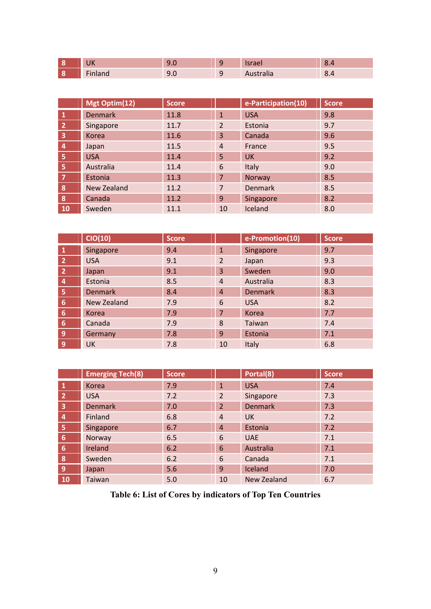| 1117<br>ᄓ                   | $\sim$<br>$\sim$ | $\Omega$<br>- | $-$<br>151 de l | $\Omega$<br>$\sim$<br>. .<br>$\mathbf{v}$ |
|-----------------------------|------------------|---------------|-----------------|-------------------------------------------|
| $- \cdot$<br><b>Hildriu</b> | . .<br>し・        | . .<br>-      | Austi diid      | $\circ$<br>$\prime$ .<br>∪.⊤              |

|              | Mgt Optim(12)      | <b>Score</b> |                | e-Participation(10) | <b>Score</b> |
|--------------|--------------------|--------------|----------------|---------------------|--------------|
|              | <b>Denmark</b>     | 11.8         | $\mathbf{1}$   | <b>USA</b>          | 9.8          |
| $\mathbf{Z}$ | Singapore          | 11.7         | $\overline{2}$ | Estonia             | 9.7          |
| 3            | Korea              | 11.6         | 3              | Canada              | 9.6          |
| 4            | Japan              | 11.5         | $\overline{4}$ | France              | 9.5          |
| 5            | <b>USA</b>         | 11.4         | 5              | <b>UK</b>           | 9.2          |
| 5            | Australia          | 11.4         | 6              | Italy               | 9.0          |
| 7            | Estonia            | 11.3         | 7              | Norway              | 8.5          |
| $\bf{8}$     | <b>New Zealand</b> | 11.2         | 7              | <b>Denmark</b>      | 8.5          |
| 8            | Canada             | 11.2         | 9              | Singapore           | 8.2          |
| 10           | Sweden             | 11.1         | 10             | Iceland             | 8.0          |

|                | CIO(10)        | <b>Score</b> |                | e-Promotion(10) | <b>Score</b> |
|----------------|----------------|--------------|----------------|-----------------|--------------|
| $\mathbf{1}$   | Singapore      | 9.4          | $\mathbf{1}$   | Singapore       | 9.7          |
| $\overline{2}$ | <b>USA</b>     | 9.1          | 2              | Japan           | 9.3          |
| $\overline{2}$ | Japan          | 9.1          | 3              | Sweden          | 9.0          |
| $\overline{a}$ | Estonia        | 8.5          | $\overline{4}$ | Australia       | 8.3          |
| $\overline{5}$ | <b>Denmark</b> | 8.4          | $\overline{4}$ | <b>Denmark</b>  | 8.3          |
| 6              | New Zealand    | 7.9          | 6              | <b>USA</b>      | 8.2          |
| 6              | Korea          | 7.9          | $\overline{7}$ | Korea           | 7.7          |
| 6              | Canada         | 7.9          | 8              | Taiwan          | 7.4          |
| 9              | Germany        | 7.8          | $\overline{9}$ | Estonia         | 7.1          |
| 9              | <b>UK</b>      | 7.8          | 10             | Italy           | 6.8          |

|                         | <b>Emerging Tech(8)</b> | <b>Score</b> |                | Portal(8)      | <b>Score</b> |
|-------------------------|-------------------------|--------------|----------------|----------------|--------------|
| 1                       | Korea                   | 7.9          | $\mathbf{1}$   | <b>USA</b>     | 7.4          |
| 2                       | <b>USA</b>              | 7.2          | $\overline{2}$ | Singapore      | 7.3          |
| 3                       | <b>Denmark</b>          | 7.0          | 2              | <b>Denmark</b> | 7.3          |
| $\overline{\mathbf{4}}$ | Finland                 | 6.8          | $\overline{4}$ | <b>UK</b>      | 7.2          |
| $\overline{\mathbf{5}}$ | Singapore               | 6.7          | $\overline{4}$ | Estonia        | 7.2          |
| 6                       | Norway                  | 6.5          | 6              | <b>UAE</b>     | 7.1          |
| 6                       | Ireland                 | 6.2          | 6              | Australia      | 7.1          |
| 8                       | Sweden                  | 6.2          | 6              | Canada         | 7.1          |
| 9                       | Japan                   | 5.6          | 9              | Iceland        | 7.0          |
| <b>10</b>               | Taiwan                  | 5.0          | 10             | New Zealand    | 6.7          |

**Table 6: List of Cores by indicators of Top Ten Countries**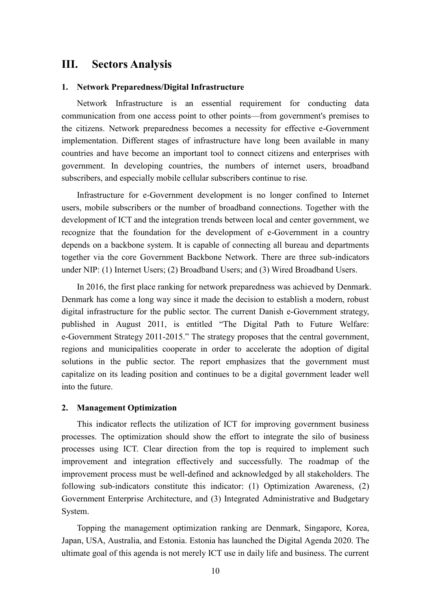# **III. Sectors Analysis**

#### **1. Network Preparedness/Digital Infrastructure**

Network Infrastructure is an essential requirement for conducting data communication from one access point to other points—from government's premises to the citizens. Network preparedness becomes a necessity for effective e-Government implementation. Different stages of infrastructure have long been available in many countries and have become an important tool to connect citizens and enterprises with government. In developing countries, the numbers of internet users, broadband subscribers, and especially mobile cellular subscribers continue to rise.

Infrastructure for e-Government development is no longer confined to Internet users, mobile subscribers or the number of broadband connections. Together with the development of ICT and the integration trends between local and center government, we recognize that the foundation for the development of e-Government in a country depends on a backbone system. It is capable of connecting all bureau and departments together via the core Government Backbone Network. There are three sub-indicators under NIP: (1) Internet Users; (2) Broadband Users; and (3) Wired Broadband Users.

In 2016, the first place ranking for network preparedness was achieved by Denmark. Denmark has come a long way since it made the decision to establish a modern, robust digital infrastructure for the public sector. The current Danish e-Government strategy, published in August 2011, is entitled "The Digital Path to Future Welfare: e-Government Strategy 2011-2015." The strategy proposes that the central government, regions and municipalities cooperate in order to accelerate the adoption of digital solutions in the public sector. The report emphasizes that the government must capitalize on its leading position and continues to be a digital government leader well into the future.

#### **2. Management Optimization**

This indicator reflects the utilization of ICT for improving government business processes. The optimization should show the effort to integrate the silo of business processes using ICT. Clear direction from the top is required to implement such improvement and integration effectively and successfully. The roadmap of the improvement process must be well-defined and acknowledged by all stakeholders. The following sub-indicators constitute this indicator: (1) Optimization Awareness, (2) Government Enterprise Architecture, and (3) Integrated Administrative and Budgetary System.

Topping the management optimization ranking are Denmark, Singapore, Korea, Japan, USA, Australia, and Estonia. Estonia has launched the Digital Agenda 2020. The ultimate goal of this agenda is not merely ICT use in daily life and business. The current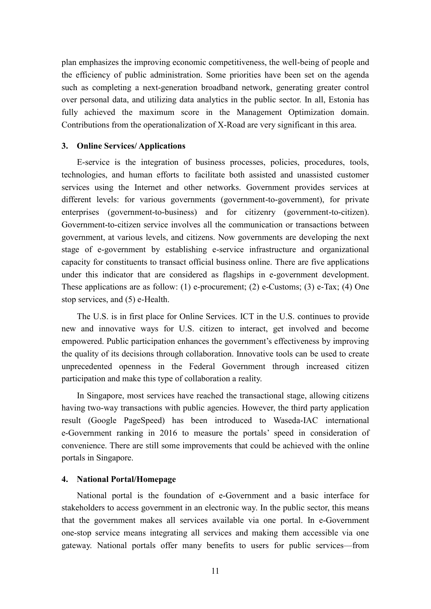plan emphasizes the improving economic competitiveness, the well-being of people and the efficiency of public administration. Some priorities have been set on the agenda such as completing a next-generation broadband network, generating greater control over personal data, and utilizing data analytics in the public sector. In all, Estonia has fully achieved the maximum score in the Management Optimization domain. Contributions from the operationalization of X-Road are very significant in this area.

#### **3. Online Services/ Applications**

E-service is the integration of business processes, policies, procedures, tools, technologies, and human efforts to facilitate both assisted and unassisted customer services using the Internet and other networks. Government provides services at different levels: for various governments (government-to-government), for private enterprises (government-to-business) and for citizenry (government-to-citizen). Government-to-citizen service involves all the communication or transactions between government, at various levels, and citizens. Now governments are developing the next stage of e-government by establishing e-service infrastructure and organizational capacity for constituents to transact official business online. There are five applications under this indicator that are considered as flagships in e-government development. These applications are as follow: (1) e-procurement; (2) e-Customs; (3) e-Tax; (4) One stop services, and (5) e-Health.

The U.S. is in first place for Online Services. ICT in the U.S. continues to provide new and innovative ways for U.S. citizen to interact, get involved and become empowered. Public participation enhances the government's effectiveness by improving the quality of its decisions through collaboration. Innovative tools can be used to create unprecedented openness in the Federal Government through increased citizen participation and make this type of collaboration a reality.

In Singapore, most services have reached the transactional stage, allowing citizens having two-way transactions with public agencies. However, the third party application result (Google PageSpeed) has been introduced to Waseda-IAC international e-Government ranking in 2016 to measure the portals' speed in consideration of convenience. There are still some improvements that could be achieved with the online portals in Singapore.

#### **4. National Portal/Homepage**

National portal is the foundation of e-Government and a basic interface for stakeholders to access government in an electronic way. In the public sector, this means that the government makes all services available via one portal. In e-Government one-stop service means integrating all services and making them accessible via one gateway. National portals offer many benefits to users for public services—from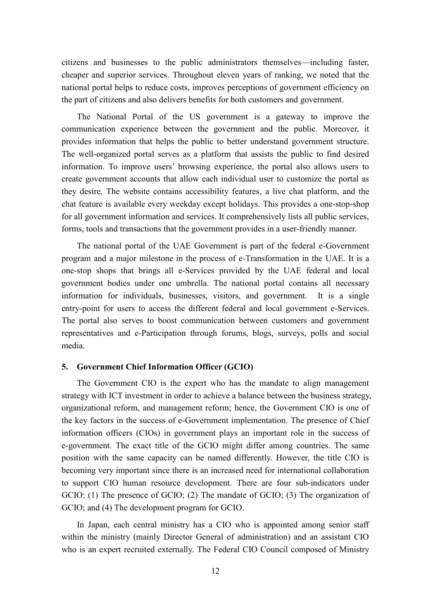citizens and businesses to the public administrators themselves—including faster, cheaper and superior services. Throughout eleven years of ranking, we noted that the national portal helps to reduce costs, improves perceptions of government efficiency on the part of citizens and also delivers benefits for both customers and government.

The National Portal of the US government is a gateway to improve the communication experience between the government and the public. Moreover, it provides information that helps the public to better understand government structure. The well-organized portal serves as a platform that assists the public to find desired information. To improve users' browsing experience, the portal also allows users to create government accounts that allow each individual user to customize the portal as they desire. The website contains accessibility features, a live chat platform, and the chat feature is available every weekday except holidays. This provides a one-stop-shop for all government information and services. It comprehensively lists all public services, forms, tools and transactions that the government provides in a user-friendly manner.

The national portal of the UAE Government is part of the federal e-Government program and a major milestone in the process of e-Transformation in the UAE. It is a one-stop shops that brings all e-Services provided by the UAE federal and local government bodies under one umbrella. The national portal contains all necessary information for individuals, businesses, visitors, and government. It is a single entry-point for users to access the different federal and local government e-Services. The portal also serves to boost communication between customers and government representatives and e-Participation through forums, blogs, surveys, polls and social media.

#### **5. Government Chief Information Officer (GCIO)**

The Government CIO is the expert who has the mandate to align management strategy with ICT investment in order to achieve a balance between the business strategy, organizational reform, and management reform; hence, the Government CIO is one of the key factors in the success of e-Government implementation. The presence of Chief information officers (CIOs) in government plays an important role in the success of e-government. The exact title of the GCIO might differ among countries. The same position with the same capacity can be named differently. However, the title CIO is becoming very important since there is an increased need for international collaboration to support CIO human resource development. There are four sub-indicators under GCIO: (1) The presence of GCIO; (2) The mandate of GCIO; (3) The organization of GCIO; and (4) The development program for GCIO.

In Japan, each central ministry has a CIO who is appointed among senior staff within the ministry (mainly Director General of administration) and an assistant CIO who is an expert recruited externally. The Federal CIO Council composed of Ministry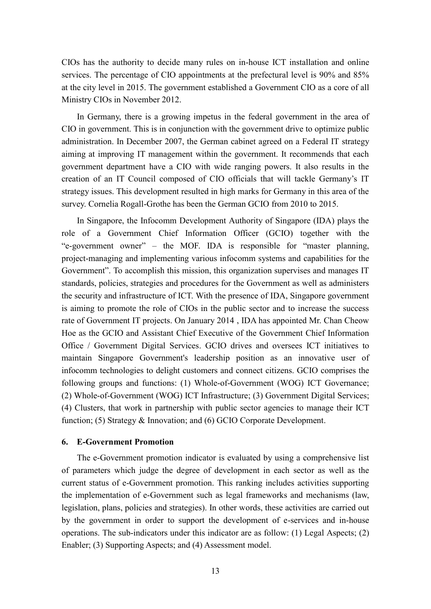CIOs has the authority to decide many rules on in-house ICT installation and online services. The percentage of CIO appointments at the prefectural level is 90% and 85% at the city level in 2015. The government established a Government CIO as a core of all Ministry CIOs in November 2012.

In Germany, there is a growing impetus in the federal government in the area of CIO in government. This is in conjunction with the government drive to optimize public administration. In December 2007, the German cabinet agreed on a Federal IT strategy aiming at improving IT management within the government. It recommends that each government department have a CIO with wide ranging powers. It also results in the creation of an IT Council composed of CIO officials that will tackle Germany's IT strategy issues. This development resulted in high marks for Germany in this area of the survey. Cornelia Rogall-Grothe has been the German GCIO from 2010 to 2015.

In Singapore, the Infocomm Development Authority of Singapore (IDA) plays the role of a Government Chief Information Officer (GCIO) together with the "e-government owner" – the MOF. IDA is responsible for "master planning, project-managing and implementing various infocomm systems and capabilities for the Government". To accomplish this mission, this organization supervises and manages IT standards, policies, strategies and procedures for the Government as well as administers the security and infrastructure of ICT. With the presence of IDA, Singapore government is aiming to promote the role of CIOs in the public sector and to increase the success rate of Government IT projects. On January 2014 , IDA has appointed Mr. Chan Cheow Hoe as the GCIO and Assistant Chief Executive of the Government Chief Information Office / Government Digital Services. GCIO drives and oversees ICT initiatives to maintain Singapore Government's leadership position as an innovative user of infocomm technologies to delight customers and connect citizens. GCIO comprises the following groups and functions: (1) Whole-of-Government (WOG) ICT Governance; (2) Whole-of-Government (WOG) ICT Infrastructure; (3) Government Digital Services; (4) Clusters, that work in partnership with public sector agencies to manage their ICT function; (5) Strategy & Innovation; and (6) GCIO Corporate Development.

#### **6. E-Government Promotion**

The e-Government promotion indicator is evaluated by using a comprehensive list of parameters which judge the degree of development in each sector as well as the current status of e-Government promotion. This ranking includes activities supporting the implementation of e-Government such as legal frameworks and mechanisms (law, legislation, plans, policies and strategies). In other words, these activities are carried out by the government in order to support the development of e-services and in-house operations. The sub-indicators under this indicator are as follow: (1) Legal Aspects; (2) Enabler; (3) Supporting Aspects; and (4) Assessment model.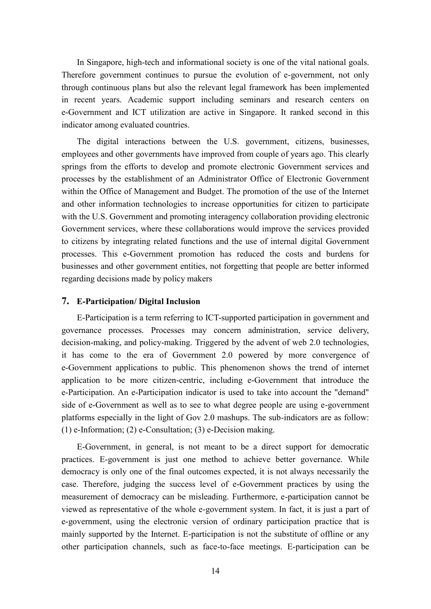In Singapore, high-tech and informational society is one of the vital national goals. Therefore government continues to pursue the evolution of e-government, not only through continuous plans but also the relevant legal framework has been implemented in recent years. Academic support including seminars and research centers on e-Government and ICT utilization are active in Singapore. It ranked second in this indicator among evaluated countries.

The digital interactions between the U.S. government, citizens, businesses, employees and other governments have improved from couple of years ago. This clearly springs from the efforts to develop and promote electronic Government services and processes by the establishment of an Administrator Office of Electronic Government within the Office of Management and Budget. The promotion of the use of the Internet and other information technologies to increase opportunities for citizen to participate with the U.S. Government and promoting interagency collaboration providing electronic Government services, where these collaborations would improve the services provided to citizens by integrating related functions and the use of internal digital Government processes. This e-Government promotion has reduced the costs and burdens for businesses and other government entities, not forgetting that people are better informed regarding decisions made by policy makers

#### **7. E-Participation/ Digital Inclusion**

E-Participation is a term referring to ICT-supported participation in government and governance processes. Processes may concern administration, service delivery, decision-making, and policy-making. Triggered by the advent of web 2.0 technologies, it has come to the era of Government 2.0 powered by more convergence of e-Government applications to public. This phenomenon shows the trend of internet application to be more citizen-centric, including e-Government that introduce the e-Participation. An e-Participation indicator is used to take into account the "demand" side of e-Government as well as to see to what degree people are using e-government platforms especially in the light of Gov 2.0 mashups. The sub-indicators are as follow: (1) e-Information; (2) e-Consultation; (3) e-Decision making.

E-Government, in general, is not meant to be a direct support for democratic practices. E-government is just one method to achieve better governance. While democracy is only one of the final outcomes expected, it is not always necessarily the case. Therefore, judging the success level of e-Government practices by using the measurement of democracy can be misleading. Furthermore, e-participation cannot be viewed as representative of the whole e-government system. In fact, it is just a part of e-government, using the electronic version of ordinary participation practice that is mainly supported by the Internet. E-participation is not the substitute of offline or any other participation channels, such as face-to-face meetings. E-participation can be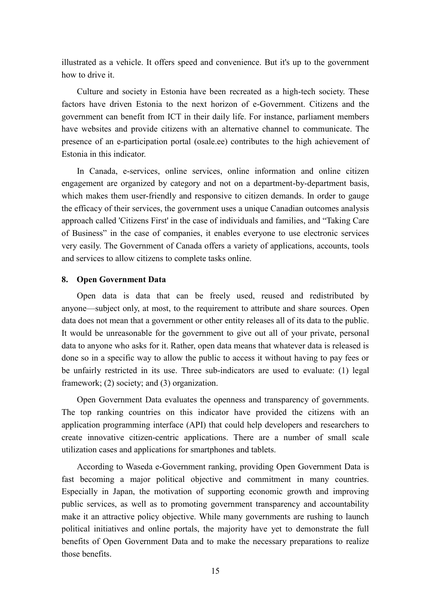illustrated as a vehicle. It offers speed and convenience. But it's up to the government how to drive it.

Culture and society in Estonia have been recreated as a high-tech society. These factors have driven Estonia to the next horizon of e-Government. Citizens and the government can benefit from ICT in their daily life. For instance, parliament members have websites and provide citizens with an alternative channel to communicate. The presence of an e-participation portal (osale.ee) contributes to the high achievement of Estonia in this indicator.

In Canada, e-services, online services, online information and online citizen engagement are organized by category and not on a department-by-department basis, which makes them user-friendly and responsive to citizen demands. In order to gauge the efficacy of their services, the government uses a unique Canadian outcomes analysis approach called 'Citizens First' in the case of individuals and families, and "Taking Care of Business" in the case of companies, it enables everyone to use electronic services very easily. The Government of Canada offers a variety of applications, accounts, tools and services to allow citizens to complete tasks online.

#### **8. Open Government Data**

Open data is data that can be freely used, reused and redistributed by anyone—subject only, at most, to the requirement to attribute and share sources. Open data does not mean that a government or other entity releases all of its data to the public. It would be unreasonable for the government to give out all of your private, personal data to anyone who asks for it. Rather, open data means that whatever data is released is done so in a specific way to allow the public to access it without having to pay fees or be unfairly restricted in its use. Three sub-indicators are used to evaluate: (1) legal framework; (2) society; and (3) organization.

Open Government Data evaluates the openness and transparency of governments. The top ranking countries on this indicator have provided the citizens with an application programming interface (API) that could help developers and researchers to create innovative citizen-centric applications. There are a number of small scale utilization cases and applications for smartphones and tablets.

According to Waseda e-Government ranking, providing Open Government Data is fast becoming a major political objective and commitment in many countries. Especially in Japan, the motivation of supporting economic growth and improving public services, as well as to promoting government transparency and accountability make it an attractive policy objective. While many governments are rushing to launch political initiatives and online portals, the majority have yet to demonstrate the full benefits of Open Government Data and to make the necessary preparations to realize those benefits.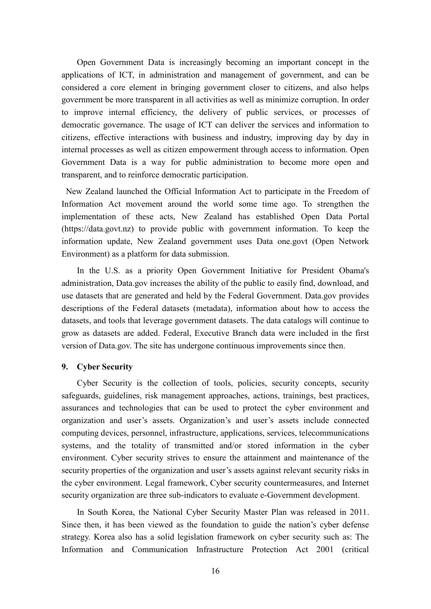Open Government Data is increasingly becoming an important concept in the applications of ICT, in administration and management of government, and can be considered a core element in bringing government closer to citizens, and also helps government be more transparent in all activities as well as minimize corruption. In order to improve internal efficiency, the delivery of public services, or processes of democratic governance. The usage of ICT can deliver the services and information to citizens, effective interactions with business and industry, improving day by day in internal processes as well as citizen empowerment through access to information. Open Government Data is a way for public administration to become more open and transparent, and to reinforce democratic participation.

New Zealand launched the Official Information Act to participate in the Freedom of Information Act movement around the world some time ago. To strengthen the implementation of these acts, New Zealand has established Open Data Portal (https://data.govt.nz) to provide public with government information. To keep the information update, New Zealand government uses Data one.govt (Open Network Environment) as a platform for data submission.

In the U.S. as a priority Open Government Initiative for President Obama's administration, Data.gov increases the ability of the public to easily find, download, and use datasets that are generated and held by the Federal Government. Data.gov provides descriptions of the Federal datasets (metadata), information about how to access the datasets, and tools that leverage government datasets. The data catalogs will continue to grow as datasets are added. Federal, Executive Branch data were included in the first version of Data.gov. The site has undergone continuous improvements since then.

#### **9. Cyber Security**

Cyber Security is the collection of tools, policies, security concepts, security safeguards, guidelines, risk management approaches, actions, trainings, best practices, assurances and technologies that can be used to protect the cyber environment and organization and user's assets. Organization's and user's assets include connected computing devices, personnel, infrastructure, applications, services, telecommunications systems, and the totality of transmitted and/or stored information in the cyber environment. Cyber security strives to ensure the attainment and maintenance of the security properties of the organization and user's assets against relevant security risks in the cyber environment. Legal framework, Cyber security countermeasures, and Internet security organization are three sub-indicators to evaluate e-Government development.

In South Korea, the National Cyber Security Master Plan was released in 2011. Since then, it has been viewed as the foundation to guide the nation's cyber defense strategy. Korea also has a solid legislation framework on cyber security such as: The Information and Communication Infrastructure Protection Act 2001 (critical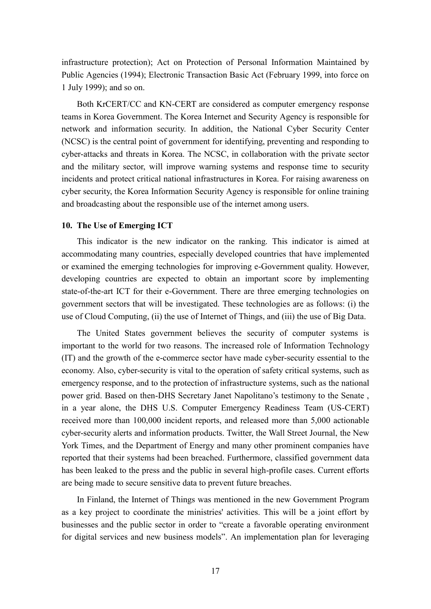infrastructure protection); Act on Protection of Personal Information Maintained by Public Agencies (1994); Electronic Transaction Basic Act (February 1999, into force on 1 July 1999); and so on.

Both KrCERT/CC and KN-CERT are considered as computer emergency response teams in Korea Government. The Korea Internet and Security Agency is responsible for network and information security. In addition, the National Cyber Security Center (NCSC) is the central point of government for identifying, preventing and responding to cyber-attacks and threats in Korea. The NCSC, in collaboration with the private sector and the military sector, will improve warning systems and response time to security incidents and protect critical national infrastructures in Korea. For raising awareness on cyber security, the Korea Information Security Agency is responsible for online training and broadcasting about the responsible use of the internet among users.

#### **10. The Use of Emerging ICT**

This indicator is the new indicator on the ranking. This indicator is aimed at accommodating many countries, especially developed countries that have implemented or examined the emerging technologies for improving e-Government quality. However, developing countries are expected to obtain an important score by implementing state-of-the-art ICT for their e-Government. There are three emerging technologies on government sectors that will be investigated. These technologies are as follows: (i) the use of Cloud Computing, (ii) the use of Internet of Things, and (iii) the use of Big Data.

The United States government believes the security of computer systems is important to the world for two reasons. The increased role of Information Technology (IT) and the growth of the e-commerce sector have made cyber-security essential to the economy. Also, cyber-security is vital to the operation of safety critical systems, such as emergency response, and to the protection of infrastructure systems, such as the national power grid. Based on then-DHS Secretary Janet Napolitano's testimony to the Senate , in a year alone, the DHS U.S. Computer Emergency Readiness Team (US-CERT) received more than 100,000 incident reports, and released more than 5,000 actionable cyber-security alerts and information products. Twitter, the Wall Street Journal, the New York Times, and the Department of Energy and many other prominent companies have reported that their systems had been breached. Furthermore, classified government data has been leaked to the press and the public in several high-profile cases. Current efforts are being made to secure sensitive data to prevent future breaches.

In Finland, the Internet of Things was mentioned in the new Government Program as a key project to coordinate the ministries' activities. This will be a joint effort by businesses and the public sector in order to "create a favorable operating environment for digital services and new business models". An implementation plan for leveraging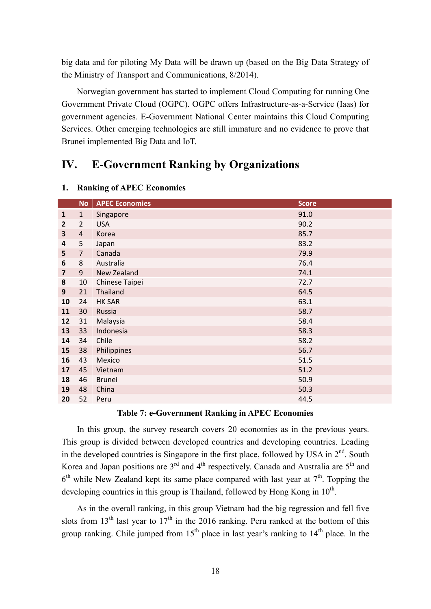big data and for piloting My Data will be drawn up (based on the Big Data Strategy of the Ministry of Transport and Communications, 8/2014).

Norwegian government has started to implement Cloud Computing for running One Government Private Cloud (OGPC). OGPC offers Infrastructure-as-a-Service (Iaas) for government agencies. E-Government National Center maintains this Cloud Computing Services. Other emerging technologies are still immature and no evidence to prove that Brunei implemented Big Data and IoT.

# **IV. E-Government Ranking by Organizations**

|                         | <b>No</b>      | <b>APEC Economies</b> | <b>Score</b> |
|-------------------------|----------------|-----------------------|--------------|
| $\mathbf{1}$            | $\mathbf{1}$   | Singapore             | 91.0         |
| $\mathbf{2}$            | $\overline{2}$ | <b>USA</b>            | 90.2         |
| 3                       | $\overline{4}$ | Korea                 | 85.7         |
| 4                       | 5              | Japan                 | 83.2         |
| 5                       | $\overline{7}$ | Canada                | 79.9         |
| 6                       | 8              | Australia             | 76.4         |
| $\overline{\mathbf{z}}$ | 9              | New Zealand           | 74.1         |
| 8                       | 10             | Chinese Taipei        | 72.7         |
| 9                       | 21             | Thailand              | 64.5         |
| 10                      | 24             | <b>HK SAR</b>         | 63.1         |
| 11                      | 30             | Russia                | 58.7         |
| 12                      | 31             | Malaysia              | 58.4         |
| 13                      | 33             | Indonesia             | 58.3         |
| 14                      | 34             | Chile                 | 58.2         |
| 15                      | 38             | Philippines           | 56.7         |
| 16                      | 43             | Mexico                | 51.5         |
| 17                      | 45             | Vietnam               | 51.2         |
| 18                      | 46             | <b>Brunei</b>         | 50.9         |
| 19                      | 48             | China                 | 50.3         |
| 20                      | 52             | Peru                  | 44.5         |

#### **1. Ranking of APEC Economies**

#### **Table 7: e-Government Ranking in APEC Economies**

In this group, the survey research covers 20 economies as in the previous years. This group is divided between developed countries and developing countries. Leading in the developed countries is Singapore in the first place, followed by USA in  $2<sup>nd</sup>$ . South Korea and Japan positions are  $3<sup>rd</sup>$  and  $4<sup>th</sup>$  respectively. Canada and Australia are  $5<sup>th</sup>$  and  $6<sup>th</sup>$  while New Zealand kept its same place compared with last year at  $7<sup>th</sup>$ . Topping the developing countries in this group is Thailand, followed by Hong Kong in  $10<sup>th</sup>$ .

As in the overall ranking, in this group Vietnam had the big regression and fell five slots from 13<sup>th</sup> last year to 17<sup>th</sup> in the 2016 ranking. Peru ranked at the bottom of this group ranking. Chile jumped from  $15<sup>th</sup>$  place in last year's ranking to  $14<sup>th</sup>$  place. In the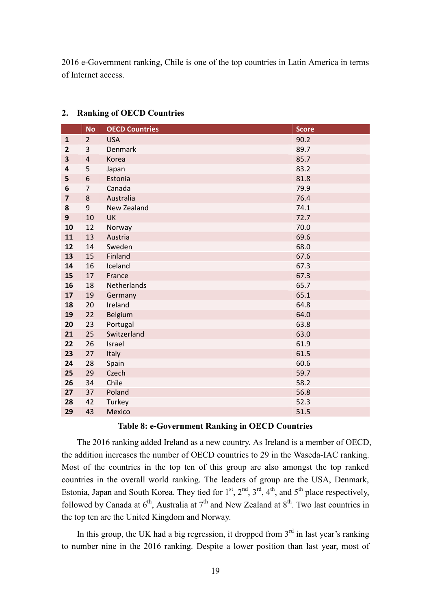e-Government ranking, Chile is one of the top countries in Latin America in terms of Internet access.

|                         | <b>No</b>      | <b>OECD Countries</b> | <b>Score</b> |
|-------------------------|----------------|-----------------------|--------------|
| $\mathbf{1}$            | $\overline{2}$ | <b>USA</b>            | 90.2         |
| $\overline{2}$          | 3              | <b>Denmark</b>        | 89.7         |
| 3                       | $\sqrt{4}$     | Korea                 | 85.7         |
| 4                       | 5              | Japan                 | 83.2         |
| 5                       | 6              | Estonia               | 81.8         |
| 6                       | $\overline{7}$ | Canada                | 79.9         |
| $\overline{\mathbf{z}}$ | 8              | Australia             | 76.4         |
| 8                       | 9              | New Zealand           | 74.1         |
| 9                       | 10             | <b>UK</b>             | 72.7         |
| 10                      | 12             | Norway                | 70.0         |
| 11                      | 13             | Austria               | 69.6         |
| 12                      | 14             | Sweden                | 68.0         |
| 13                      | 15             | Finland               | 67.6         |
| 14                      | 16             | Iceland               | 67.3         |
| 15                      | 17             | France                | 67.3         |
| 16                      | 18             | Netherlands           | 65.7         |
| 17                      | 19             | Germany               | 65.1         |
| 18                      | 20             | Ireland               | 64.8         |
| 19                      | 22             | Belgium               | 64.0         |
| 20                      | 23             | Portugal              | 63.8         |
| 21                      | 25             | Switzerland           | 63.0         |
| 22                      | 26             | Israel                | 61.9         |
| 23                      | 27             | Italy                 | 61.5         |
| 24                      | 28             | 60.6<br>Spain         |              |
| 25                      | 29             | Czech                 | 59.7         |
| 26                      | 34             | Chile                 | 58.2         |
| 27                      | 37             | Poland                | 56.8         |
| 28                      | 42             | Turkey                | 52.3         |
| 29                      | 43             | <b>Mexico</b>         | 51.5         |

#### **2. Ranking of OECD Countries**

#### **Table 8: e-Government Ranking in OECD Countries**

The 2016 ranking added Ireland as a new country. As Ireland is a member of OECD, the addition increases the number of OECD countries to 29 in the Waseda-IAC ranking. Most of the countries in the top ten of this group are also amongst the top ranked countries in the overall world ranking. The leaders of group are the USA, Denmark, Estonia, Japan and South Korea. They tied for  $1<sup>st</sup>$ ,  $2<sup>nd</sup>$ ,  $3<sup>rd</sup>$ ,  $4<sup>th</sup>$ , and  $5<sup>th</sup>$  place respectively, followed by Canada at  $6<sup>th</sup>$ , Australia at  $7<sup>th</sup>$  and New Zealand at  $8<sup>th</sup>$ . Two last countries in the top ten are the United Kingdom and Norway.

In this group, the UK had a big regression, it dropped from  $3<sup>rd</sup>$  in last year's ranking to number nine in the 2016 ranking. Despite a lower position than last year, most of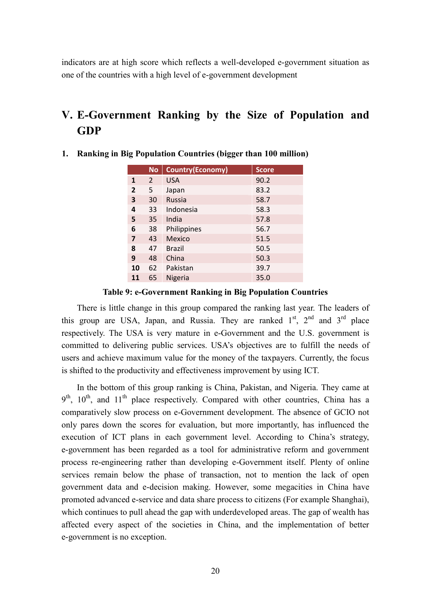indicators are at high score which reflects a well-developed e-government situation as one of the countries with a high level of e-government development

# **V. E-Government Ranking by the Size of Population and GDP**

|    | <b>No</b> | <b>Country(Economy)</b> | <b>Score</b> |
|----|-----------|-------------------------|--------------|
| 1  | 2         | <b>USA</b>              | 90.2         |
| 2  | 5         | Japan                   | 83.2         |
| 3  | 30        | <b>Russia</b>           | 58.7         |
| 4  | 33        | Indonesia               | 58.3         |
| 5  | 35        | India                   | 57.8         |
| 6  | 38        | Philippines             | 56.7         |
| 7  | 43        | Mexico                  | 51.5         |
| 8  | 47        | Brazil                  | 50.5         |
| 9  | 48        | China                   | 50.3         |
| 10 | 62        | Pakistan                | 39.7         |
| 11 | 65        | <b>Nigeria</b>          | 35.0         |

**1. Ranking in Big Population Countries (bigger than 100 million)**

**Table 9: e-Government Ranking in Big Population Countries**

There is little change in this group compared the ranking last year. The leaders of this group are USA, Japan, and Russia. They are ranked  $1<sup>st</sup>$ ,  $2<sup>nd</sup>$  and  $3<sup>rd</sup>$  place respectively. The USA is very mature in e-Government and the U.S. government is committed to delivering public services. USA's objectives are to fulfill the needs of users and achieve maximum value for the money of the taxpayers. Currently, the focus is shifted to the productivity and effectiveness improvement by using ICT.

In the bottom of this group ranking is China, Pakistan, and Nigeria. They came at  $9<sup>th</sup>$ ,  $10<sup>th</sup>$ , and  $11<sup>th</sup>$  place respectively. Compared with other countries, China has a comparatively slow process on e-Government development. The absence of GCIO not only pares down the scores for evaluation, but more importantly, has influenced the execution of ICT plans in each government level. According to China's strategy, e-government has been regarded as a tool for administrative reform and government process re-engineering rather than developing e-Government itself. Plenty of online services remain below the phase of transaction, not to mention the lack of open government data and e-decision making. However, some megacities in China have promoted advanced e-service and data share process to citizens (For example Shanghai), which continues to pull ahead the gap with underdeveloped areas. The gap of wealth has affected every aspect of the societies in China, and the implementation of better e-government is no exception.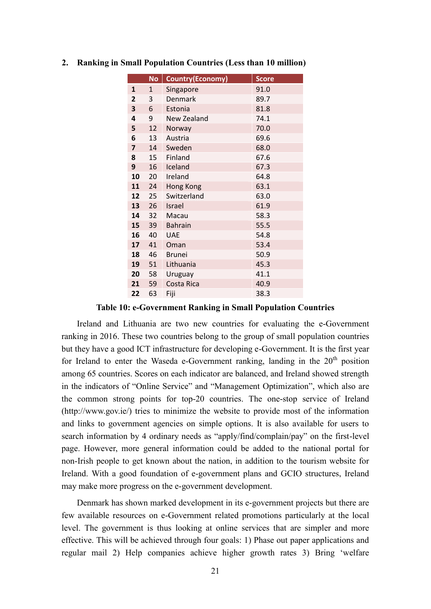|                         | <b>No</b>    | <b>Country(Economy)</b> | <b>Score</b> |
|-------------------------|--------------|-------------------------|--------------|
| $\mathbf{1}$            | $\mathbf{1}$ | Singapore               | 91.0         |
| 2                       | 3            | Denmark                 | 89.7         |
| 3                       | 6            | Estonia                 | 81.8         |
| 4                       | 9            | New Zealand             | 74.1         |
| 5                       | 12           | Norway                  | 70.0         |
| 6                       | 13           | Austria                 | 69.6         |
| $\overline{\mathbf{z}}$ | 14           | Sweden                  | 68.0         |
| 8                       | 15           | Finland                 | 67.6         |
| 9                       | 16           | Iceland                 | 67.3         |
| 10                      | 20           | Ireland                 | 64.8         |
| 11                      | 24           | Hong Kong               | 63.1         |
| 12                      | 25           | Switzerland             | 63.0         |
| 13                      | 26           | <b>Israel</b>           | 61.9         |
| 14                      | 32           | Macau                   | 58.3         |
| 15                      | 39           | <b>Bahrain</b>          | 55.5         |
| 16                      | 40           | <b>UAE</b>              | 54.8         |
| 17                      | 41           | Oman                    | 53.4         |
| 18                      | 46           | <b>Brunei</b>           | 50.9         |
| 19                      | 51           | Lithuania               | 45.3         |
| 20                      | 58           | Uruguay                 | 41.1         |
| 21                      | 59           | Costa Rica              | 40.9         |
| 22                      | 63           | Fiji                    | 38.3         |

#### **2. Ranking in Small Population Countries (Less than 10 million)**

#### **Table 10: e-Government Ranking in Small Population Countries**

Ireland and Lithuania are two new countries for evaluating the e-Government ranking in 2016. These two countries belong to the group of small population countries but they have a good ICT infrastructure for developing e-Government. It is the first year for Ireland to enter the Waseda e-Government ranking, landing in the  $20<sup>th</sup>$  position among 65 countries. Scores on each indicator are balanced, and Ireland showed strength in the indicators of "Online Service" and "Management Optimization", which also are the common strong points for top-20 countries. The one-stop service of Ireland (http://www.gov.ie/) tries to minimize the website to provide most of the information and links to government agencies on simple options. It is also available for users to search information by 4 ordinary needs as "apply/find/complain/pay" on the first-level page. However, more general information could be added to the national portal for non-Irish people to get known about the nation, in addition to the tourism website for Ireland. With a good foundation of e-government plans and GCIO structures, Ireland may make more progress on the e-government development.

Denmark has shown marked development in its e-government projects but there are few available resources on e-Government related promotions particularly at the local level. The government is thus looking at online services that are simpler and more effective. This will be achieved through four goals: 1) Phase out paper applications and regular mail 2) Help companies achieve higher growth rates 3) Bring 'welfare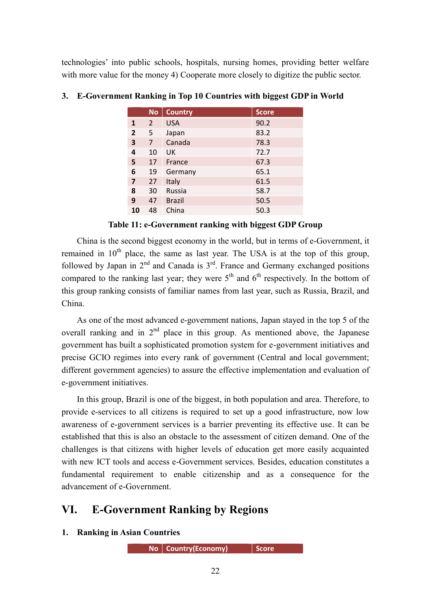technologies' into public schools, hospitals, nursing homes, providing better welfare with more value for the money 4) Cooperate more closely to digitize the public sector.

|    | <b>No</b> | <b>Country</b> | <b>Score</b> |
|----|-----------|----------------|--------------|
| 1  | 2         | <b>USA</b>     | 90.2         |
| 2  | 5         | Japan          | 83.2         |
| 3  | 7         | Canada         | 78.3         |
| 4  | 10        | UK             | 72.7         |
| 5  | 17        | France         | 67.3         |
| 6  | 19        | Germany        | 65.1         |
| 7  | 27        | Italy          | 61.5         |
| 8  | 30        | Russia         | 58.7         |
| 9  | 47        | <b>Brazil</b>  | 50.5         |
| 10 | 48        | China          | 50.3         |

**3. E-Government Ranking in Top 10 Countries with biggest GDP in World**

#### **Table 11: e-Government ranking with biggest GDP Group**

China is the second biggest economy in the world, but in terms of e-Government, it remained in  $10<sup>th</sup>$  place, the same as last year. The USA is at the top of this group, followed by Japan in  $2<sup>nd</sup>$  and Canada is  $3<sup>rd</sup>$ . France and Germany exchanged positions compared to the ranking last year; they were  $5<sup>th</sup>$  and  $6<sup>th</sup>$  respectively. In the bottom of this group ranking consists of familiar names from last year, such as Russia, Brazil, and China.

As one of the most advanced e-government nations, Japan stayed in the top 5 of the overall ranking and in  $2<sup>nd</sup>$  place in this group. As mentioned above, the Japanese government has built a sophisticated promotion system for e-government initiatives and precise GCIO regimes into every rank of government (Central and local government; different government agencies) to assure the effective implementation and evaluation of e-government initiatives.

In this group, Brazil is one of the biggest, in both population and area. Therefore, to provide e-services to all citizens is required to set up a good infrastructure, now low awareness of e-government services is a barrier preventing its effective use. It can be established that this is also an obstacle to the assessment of citizen demand. One of the challenges is that citizens with higher levels of education get more easily acquainted with new ICT tools and access e-Government services. Besides, education constitutes a fundamental requirement to enable citizenship and as a consequence for the advancement of e-Government.

# **VI. E-Government Ranking by Regions**

**1. Ranking in Asian Countries**

**No Country(Economy) <b>Score**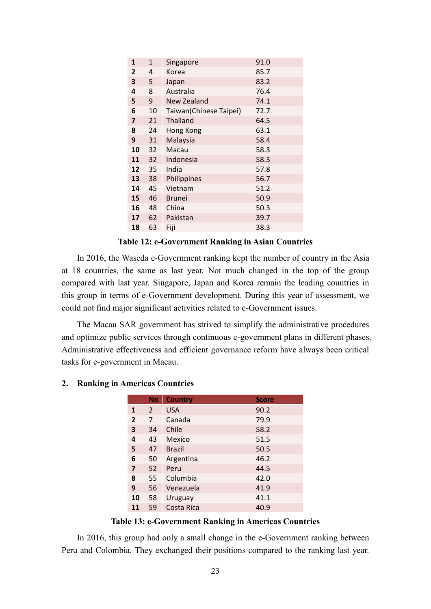| 1              | 1  | Singapore              | 91.0 |
|----------------|----|------------------------|------|
| 2              | 4  | Korea                  | 85.7 |
| 3              | 5  | Japan                  | 83.2 |
| 4              | 8  | Australia              | 76.4 |
| 5              | 9  | New Zealand            | 74.1 |
| 6              | 10 | Taiwan(Chinese Taipei) | 72.7 |
| $\overline{7}$ | 21 | <b>Thailand</b>        | 64.5 |
| 8              | 24 | Hong Kong              | 63.1 |
| 9              | 31 | Malaysia               | 58.4 |
| 10             | 32 | Macau                  | 58.3 |
| 11             | 32 | Indonesia              | 58.3 |
| 12             | 35 | India                  | 57.8 |
| 13             | 38 | Philippines            | 56.7 |
| 14             | 45 | Vietnam                | 51.2 |
| 15             | 46 | <b>Brunei</b>          | 50.9 |
| 16             | 48 | China                  | 50.3 |
| 17             | 62 | Pakistan               | 39.7 |
| 18             | 63 | Fiji                   | 38.3 |

**Table 12: e-Government Ranking in Asian Countries**

In 2016, the Waseda e-Government ranking kept the number of country in the Asia at 18 countries, the same as last year. Not much changed in the top of the group compared with last year. Singapore, Japan and Korea remain the leading countries in this group in terms of e-Government development. During this year of assessment, we could not find major significant activities related to e-Government issues.

The Macau SAR government has strived to simplify the administrative procedures and optimize public services through continuous e-government plans in different phases. Administrative effectiveness and efficient governance reform have always been critical tasks for e-government in Macau.

|                | <b>No</b>     | <b>Country</b> | <b>Score</b> |
|----------------|---------------|----------------|--------------|
| 1              | $\mathcal{P}$ | <b>USA</b>     | 90.2         |
| $\overline{2}$ | 7             | Canada         | 79.9         |
| 3              | 34            | Chile          | 58.2         |
| 4              | 43            | Mexico         | 51.5         |
| 5              | 47            | <b>Brazil</b>  | 50.5         |
| 6              | 50            | Argentina      | 46.2         |
| 7              | 52            | Peru           | 44.5         |
| 8              | 55            | Columbia       | 42.0         |
| 9              | 56            | Venezuela      | 41.9         |
| 10             | 58            | Uruguay        | 41.1         |
| 11             | 59            | Costa Rica     | 40.9         |

#### **2. Ranking in Americas Countries**

#### **Table 13: e-Government Ranking in Americas Countries**

In 2016, this group had only a small change in the e-Government ranking between Peru and Colombia. They exchanged their positions compared to the ranking last year.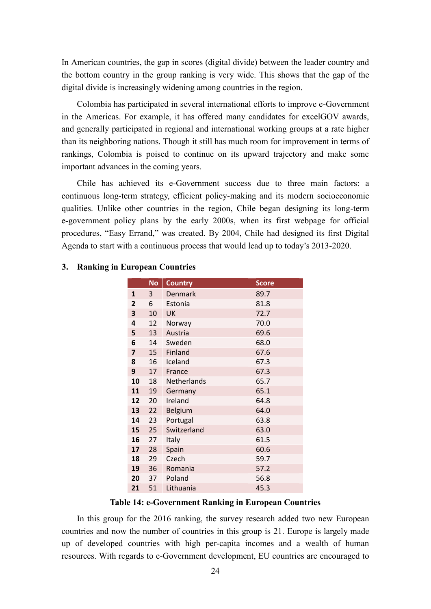In American countries, the gap in scores (digital divide) between the leader country and the bottom country in the group ranking is very wide. This shows that the gap of the digital divide is increasingly widening among countries in the region.

Colombia has participated in several international efforts to improve e-Government in the Americas. For example, it has offered many candidates for excelGOV awards, and generally participated in regional and international working groups at a rate higher than its neighboring nations. Though it still has much room for improvement in terms of rankings, Colombia is poised to continue on its upward trajectory and make some important advances in the coming years.

Chile has achieved its e-Government success due to three main factors: a continuous long-term strategy, efficient policy-making and its modern socioeconomic qualities. Unlike other countries in the region, Chile began designing its long-term e-government policy plans by the early 2000s, when its first webpage for official procedures, "Easy Errand," was created. By 2004, Chile had designed its first Digital Agenda to start with a continuous process that would lead up to today's 2013-2020.

|                | <b>No</b> | <b>Country</b> | <b>Score</b> |
|----------------|-----------|----------------|--------------|
| $\mathbf{1}$   | 3         | <b>Denmark</b> | 89.7         |
| $\overline{2}$ | 6         | Estonia        | 81.8         |
| 3              | 10        | UK             | 72.7         |
| 4              | 12        | Norway         | 70.0         |
| 5              | 13        | Austria        | 69.6         |
| 6              | 14        | Sweden         | 68.0         |
| 7              | 15        | Finland        | 67.6         |
| 8              | 16        | Iceland        | 67.3         |
| 9              | 17        | France         | 67.3         |
| 10             | 18        | Netherlands    | 65.7         |
| 11             | 19        | Germany        | 65.1         |
| 12             | 20        | Ireland        | 64.8         |
| 13             | 22        | Belgium        | 64.0         |
| 14             | 23        | Portugal       | 63.8         |
| 15             | 25        | Switzerland    | 63.0         |
| 16             | 27        | Italy          | 61.5         |
| 17             | 28        | Spain          | 60.6         |
| 18             | 29        | Czech          | 59.7         |
| 19             | 36        | Romania        | 57.2         |
| 20             | 37        | Poland         | 56.8         |
| 21             | 51        | Lithuania      | 45.3         |

#### **3. Ranking in European Countries**

#### **Table 14: e-Government Ranking in European Countries**

In this group for the 2016 ranking, the survey research added two new European countries and now the number of countries in this group is 21. Europe is largely made up of developed countries with high per-capita incomes and a wealth of human resources. With regards to e-Government development, EU countries are encouraged to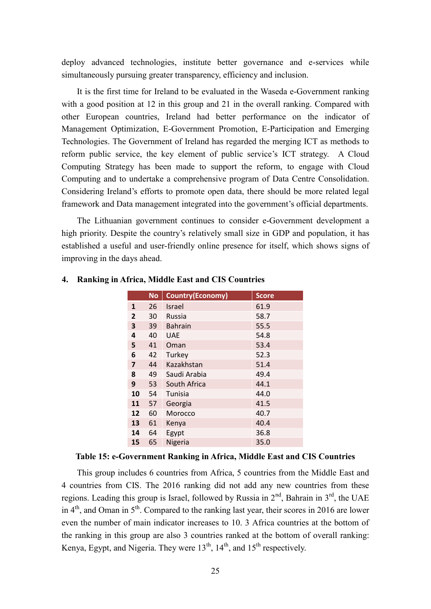deploy advanced technologies, institute better governance and e-services while simultaneously pursuing greater transparency, efficiency and inclusion.

It is the first time for Ireland to be evaluated in the Waseda e-Government ranking with a good position at 12 in this group and 21 in the overall ranking. Compared with other European countries, Ireland had better performance on the indicator of Management Optimization, E-Government Promotion, E-Participation and Emerging Technologies. The Government of Ireland has regarded the merging ICT as methods to reform public service, the key element of public service's ICT strategy. A Cloud Computing Strategy has been made to support the reform, to engage with Cloud Computing and to undertake a comprehensive program of Data Centre Consolidation. Considering Ireland's efforts to promote open data, there should be more related legal framework and Data management integrated into the government's official departments.

The Lithuanian government continues to consider e-Government development a high priority. Despite the country's relatively small size in GDP and population, it has established a useful and user-friendly online presence for itself, which shows signs of improving in the days ahead.

|                | <b>No</b> | <b>Country(Economy)</b> | <b>Score</b> |
|----------------|-----------|-------------------------|--------------|
| $\mathbf{1}$   | 26        | <b>Israel</b>           | 61.9         |
| $\overline{2}$ | 30        | Russia                  | 58.7         |
| 3              | 39        | <b>Bahrain</b>          | 55.5         |
| 4              | 40        | <b>UAE</b>              | 54.8         |
| 5              | 41        | Oman                    | 53.4         |
| 6              | 42        | Turkey                  | 52.3         |
| 7              | 44        | Kazakhstan              | 51.4         |
| 8              | 49        | Saudi Arabia            | 49.4         |
| 9              | 53        | South Africa            | 44.1         |
| 10             | 54        | Tunisia                 | 44.0         |
| 11             | 57        | Georgia                 | 41.5         |
| 12             | 60        | Morocco                 | 40.7         |
| 13             | 61        | Kenya                   | 40.4         |
| 14             | 64        | Egypt                   | 36.8         |
| 15             | 65        | Nigeria                 | 35.0         |

#### **4. Ranking in Africa, Middle East and CIS Countries**

#### **Table 15: e-Government Ranking in Africa, Middle East and CIS Countries**

This group includes 6 countries from Africa, 5 countries from the Middle East and 4 countries from CIS. The 2016 ranking did not add any new countries from these regions. Leading this group is Israel, followed by Russia in 2<sup>nd</sup>, Bahrain in 3<sup>rd</sup>, the UAE in  $4<sup>th</sup>$ , and Oman in  $5<sup>th</sup>$ . Compared to the ranking last year, their scores in 2016 are lower even the number of main indicator increases to 10. 3 Africa countries at the bottom of the ranking in this group are also 3 countries ranked at the bottom of overall ranking: Kenya, Egypt, and Nigeria. They were  $13<sup>th</sup>$ ,  $14<sup>th</sup>$ , and  $15<sup>th</sup>$  respectively.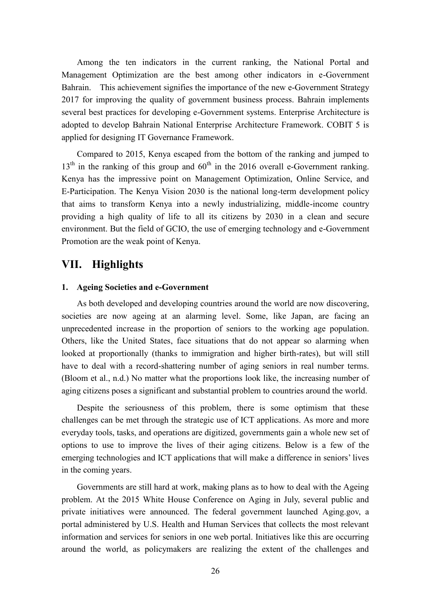Among the ten indicators in the current ranking, the National Portal and Management Optimization are the best among other indicators in e-Government Bahrain. This achievement signifies the importance of the new e-Government Strategy 2017 for improving the quality of government business process. Bahrain implements several best practices for developing e-Government systems. Enterprise Architecture is adopted to develop Bahrain National Enterprise Architecture Framework. COBIT 5 is applied for designing IT Governance Framework.

Compared to 2015, Kenya escaped from the bottom of the ranking and jumped to  $13<sup>th</sup>$  in the ranking of this group and  $60<sup>th</sup>$  in the 2016 overall e-Government ranking. Kenya has the impressive point on Management Optimization, Online Service, and E-Participation. The Kenya Vision 2030 is the national long-term development policy that aims to transform Kenya into a newly industrializing, middle-income country providing a high quality of life to all its citizens by 2030 in a clean and secure environment. But the field of GCIO, the use of emerging technology and e-Government Promotion are the weak point of Kenya.

# **VII. Highlights**

#### **1. Ageing Societies and e-Government**

As both developed and developing countries around the world are now discovering, societies are now ageing at an alarming level. Some, like Japan, are facing an unprecedented increase in the proportion of seniors to the working age population. Others, like the United States, face situations that do not appear so alarming when looked at proportionally (thanks to immigration and higher birth-rates), but will still have to deal with a record-shattering number of aging seniors in real number terms. (Bloom et al., n.d.) No matter what the proportions look like, the increasing number of aging citizens poses a significant and substantial problem to countries around the world.

Despite the seriousness of this problem, there is some optimism that these challenges can be met through the strategic use of ICT applications. As more and more everyday tools, tasks, and operations are digitized, governments gain a whole new set of options to use to improve the lives of their aging citizens. Below is a few of the emerging technologies and ICT applications that will make a difference in seniors' lives in the coming years.

Governments are still hard at work, making plans as to how to deal with the Ageing problem. At the 2015 White House Conference on Aging in July, several public and private initiatives were announced. The federal government launched Aging.gov, a portal administered by U.S. Health and Human Services that collects the most relevant information and services for seniors in one web portal. Initiatives like this are occurring around the world, as policymakers are realizing the extent of the challenges and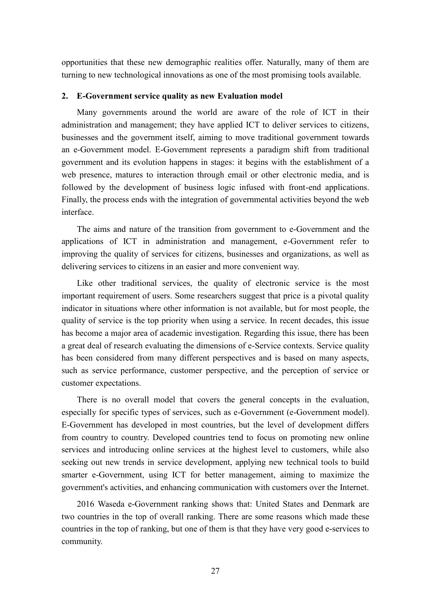opportunities that these new demographic realities offer. Naturally, many of them are turning to new technological innovations as one of the most promising tools available.

#### **2. E-Government service quality as new Evaluation model**

Many governments around the world are aware of the role of ICT in their administration and management; they have applied ICT to deliver services to citizens, businesses and the government itself, aiming to move traditional government towards an e-Government model. E-Government represents a paradigm shift from traditional government and its evolution happens in stages: it begins with the establishment of a web presence, matures to interaction through email or other electronic media, and is followed by the development of business logic infused with front-end applications. Finally, the process ends with the integration of governmental activities beyond the web interface.

The aims and nature of the transition from government to e-Government and the applications of ICT in administration and management, e-Government refer to improving the quality of services for citizens, businesses and organizations, as well as delivering services to citizens in an easier and more convenient way.

Like other traditional services, the quality of electronic service is the most important requirement of users. Some researchers suggest that price is a pivotal quality indicator in situations where other information is not available, but for most people, the quality of service is the top priority when using a service. In recent decades, this issue has become a major area of academic investigation. Regarding this issue, there has been a great deal of research evaluating the dimensions of e-Service contexts. Service quality has been considered from many different perspectives and is based on many aspects, such as service performance, customer perspective, and the perception of service or customer expectations.

There is no overall model that covers the general concepts in the evaluation, especially for specific types of services, such as e-Government (e-Government model). E-Government has developed in most countries, but the level of development differs from country to country. Developed countries tend to focus on promoting new online services and introducing online services at the highest level to customers, while also seeking out new trends in service development, applying new technical tools to build smarter e-Government, using ICT for better management, aiming to maximize the government's activities, and enhancing communication with customers over the Internet.

2016 Waseda e-Government ranking shows that: United States and Denmark are two countries in the top of overall ranking. There are some reasons which made these countries in the top of ranking, but one of them is that they have very good e-services to community.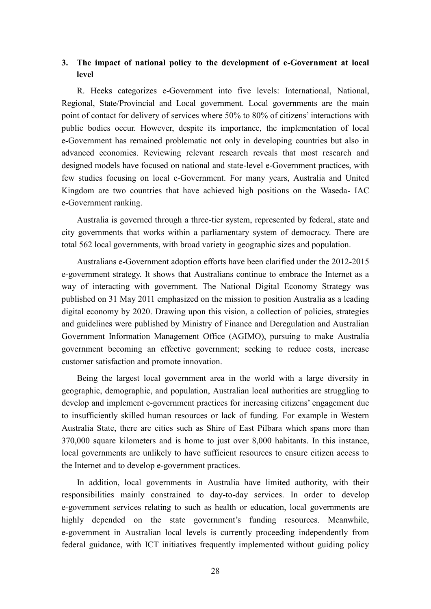### **3. The impact of national policy to the development of e-Government at local level**

R. Heeks categorizes e-Government into five levels: International, National, Regional, State/Provincial and Local government. Local governments are the main point of contact for delivery of services where 50% to 80% of citizens' interactions with public bodies occur. However, despite its importance, the implementation of local e-Government has remained problematic not only in developing countries but also in advanced economies. Reviewing relevant research reveals that most research and designed models have focused on national and state-level e-Government practices, with few studies focusing on local e-Government. For many years, Australia and United Kingdom are two countries that have achieved high positions on the Waseda- IAC e-Government ranking.

Australia is governed through a three-tier system, represented by federal, state and city governments that works within a parliamentary system of democracy. There are total 562 local governments, with broad variety in geographic sizes and population.

Australians e-Government adoption efforts have been clarified under the 2012-2015 e-government strategy. It shows that Australians continue to embrace the Internet as a way of interacting with government. The National Digital Economy Strategy was published on 31 May 2011 emphasized on the mission to position Australia as a leading digital economy by 2020. Drawing upon this vision, a collection of policies, strategies and guidelines were published by Ministry of Finance and Deregulation and Australian Government Information Management Office (AGIMO), pursuing to make Australia government becoming an effective government; seeking to reduce costs, increase customer satisfaction and promote innovation.

Being the largest local government area in the world with a large diversity in geographic, demographic, and population, Australian local authorities are struggling to develop and implement e-government practices for increasing citizens' engagement due to insufficiently skilled human resources or lack of funding. For example in Western Australia State, there are cities such as Shire of East Pilbara which spans more than 370,000 square kilometers and is home to just over 8,000 habitants. In this instance, local governments are unlikely to have sufficient resources to ensure citizen access to the Internet and to develop e-government practices.

In addition, local governments in Australia have limited authority, with their responsibilities mainly constrained to day-to-day services. In order to develop e-government services relating to such as health or education, local governments are highly depended on the state government's funding resources. Meanwhile, e-government in Australian local levels is currently proceeding independently from federal guidance, with ICT initiatives frequently implemented without guiding policy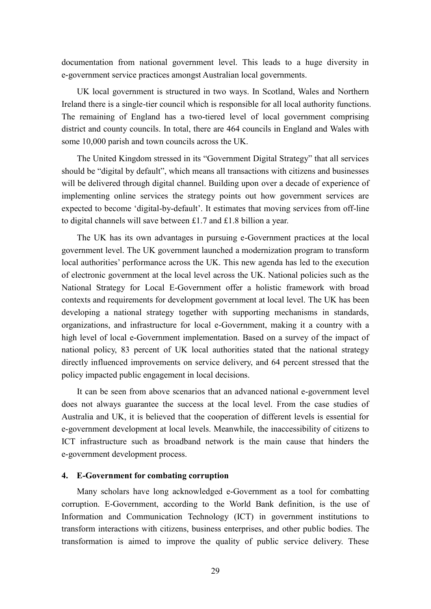documentation from national government level. This leads to a huge diversity in e-government service practices amongst Australian local governments.

UK local government is structured in two ways. In Scotland, Wales and Northern Ireland there is a single-tier council which is responsible for all local authority functions. The remaining of England has a two-tiered level of local government comprising district and county councils. In total, there are 464 councils in England and Wales with some 10,000 parish and town councils across the UK.

The United Kingdom stressed in its "Government Digital Strategy" that all services should be "digital by default", which means all transactions with citizens and businesses will be delivered through digital channel. Building upon over a decade of experience of implementing online services the strategy points out how government services are expected to become 'digital-by-default'. It estimates that moving services from off-line to digital channels will save between £1.7 and £1.8 billion a year.

The UK has its own advantages in pursuing e-Government practices at the local government level. The UK government launched a modernization program to transform local authorities' performance across the UK. This new agenda has led to the execution of electronic government at the local level across the UK. National policies such as the National Strategy for Local E-Government offer a holistic framework with broad contexts and requirements for development government at local level. The UK has been developing a national strategy together with supporting mechanisms in standards, organizations, and infrastructure for local e-Government, making it a country with a high level of local e-Government implementation. Based on a survey of the impact of national policy, 83 percent of UK local authorities stated that the national strategy directly influenced improvements on service delivery, and 64 percent stressed that the policy impacted public engagement in local decisions.

It can be seen from above scenarios that an advanced national e-government level does not always guarantee the success at the local level. From the case studies of Australia and UK, it is believed that the cooperation of different levels is essential for e-government development at local levels. Meanwhile, the inaccessibility of citizens to ICT infrastructure such as broadband network is the main cause that hinders the e-government development process.

#### **4. E-Government for combating corruption**

Many scholars have long acknowledged e-Government as a tool for combatting corruption. E-Government, according to the World Bank definition, is the use of Information and Communication Technology (ICT) in government institutions to transform interactions with citizens, business enterprises, and other public bodies. The transformation is aimed to improve the quality of public service delivery. These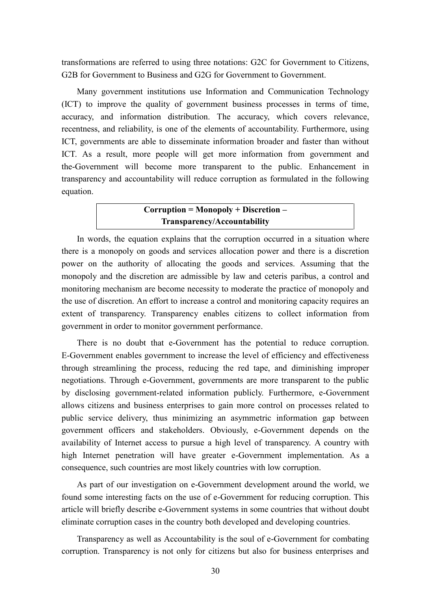transformations are referred to using three notations: G2C for Government to Citizens, G2B for Government to Business and G2G for Government to Government.

Many government institutions use Information and Communication Technology (ICT) to improve the quality of government business processes in terms of time, accuracy, and information distribution. The accuracy, which covers relevance, recentness, and reliability, is one of the elements of accountability. Furthermore, using ICT, governments are able to disseminate information broader and faster than without ICT. As a result, more people will get more information from government and the-Government will become more transparent to the public. Enhancement in transparency and accountability will reduce corruption as formulated in the following equation.

### **Corruption = Monopoly + Discretion – Transparency/Accountability**

In words, the equation explains that the corruption occurred in a situation where there is a monopoly on goods and services allocation power and there is a discretion power on the authority of allocating the goods and services. Assuming that the monopoly and the discretion are admissible by law and ceteris paribus, a control and monitoring mechanism are become necessity to moderate the practice of monopoly and the use of discretion. An effort to increase a control and monitoring capacity requires an extent of transparency. Transparency enables citizens to collect information from government in order to monitor government performance.

There is no doubt that e-Government has the potential to reduce corruption. E-Government enables government to increase the level of efficiency and effectiveness through streamlining the process, reducing the red tape, and diminishing improper negotiations. Through e-Government, governments are more transparent to the public by disclosing government-related information publicly. Furthermore, e-Government allows citizens and business enterprises to gain more control on processes related to public service delivery, thus minimizing an asymmetric information gap between government officers and stakeholders. Obviously, e-Government depends on the availability of Internet access to pursue a high level of transparency. A country with high Internet penetration will have greater e-Government implementation. As a consequence, such countries are most likely countries with low corruption.

As part of our investigation on e-Government development around the world, we found some interesting facts on the use of e-Government for reducing corruption. This article will briefly describe e-Government systems in some countries that without doubt eliminate corruption cases in the country both developed and developing countries.

Transparency as well as Accountability is the soul of e-Government for combating corruption. Transparency is not only for citizens but also for business enterprises and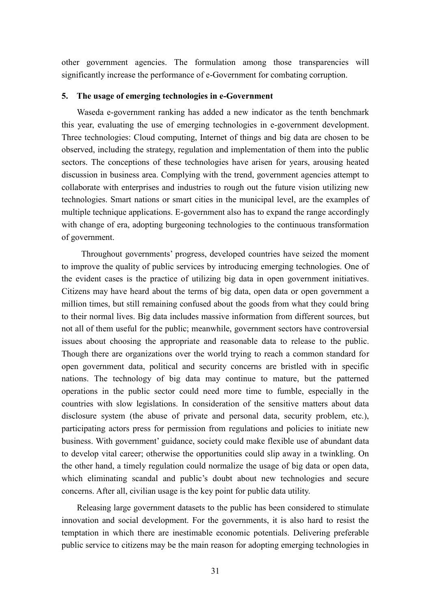other government agencies. The formulation among those transparencies will significantly increase the performance of e-Government for combating corruption.

#### **5. The usage of emerging technologies in e-Government**

Waseda e-government ranking has added a new indicator as the tenth benchmark this year, evaluating the use of emerging technologies in e-government development. Three technologies: Cloud computing, Internet of things and big data are chosen to be observed, including the strategy, regulation and implementation of them into the public sectors. The conceptions of these technologies have arisen for years, arousing heated discussion in business area. Complying with the trend, government agencies attempt to collaborate with enterprises and industries to rough out the future vision utilizing new technologies. Smart nations or smart cities in the municipal level, are the examples of multiple technique applications. E-government also has to expand the range accordingly with change of era, adopting burgeoning technologies to the continuous transformation of government.

Throughout governments' progress, developed countries have seized the moment to improve the quality of public services by introducing emerging technologies. One of the evident cases is the practice of utilizing big data in open government initiatives. Citizens may have heard about the terms of big data, open data or open government a million times, but still remaining confused about the goods from what they could bring to their normal lives. Big data includes massive information from different sources, but not all of them useful for the public; meanwhile, government sectors have controversial issues about choosing the appropriate and reasonable data to release to the public. Though there are organizations over the world trying to reach a common standard for open government data, political and security concerns are bristled with in specific nations. The technology of big data may continue to mature, but the patterned operations in the public sector could need more time to fumble, especially in the countries with slow legislations. In consideration of the sensitive matters about data disclosure system (the abuse of private and personal data, security problem, etc.), participating actors press for permission from regulations and policies to initiate new business. With government' guidance, society could make flexible use of abundant data to develop vital career; otherwise the opportunities could slip away in a twinkling. On the other hand, a timely regulation could normalize the usage of big data or open data, which eliminating scandal and public's doubt about new technologies and secure concerns. After all, civilian usage is the key point for public data utility.

Releasing large government datasets to the public has been considered to stimulate innovation and social development. For the governments, it is also hard to resist the temptation in which there are inestimable economic potentials. Delivering preferable public service to citizens may be the main reason for adopting emerging technologies in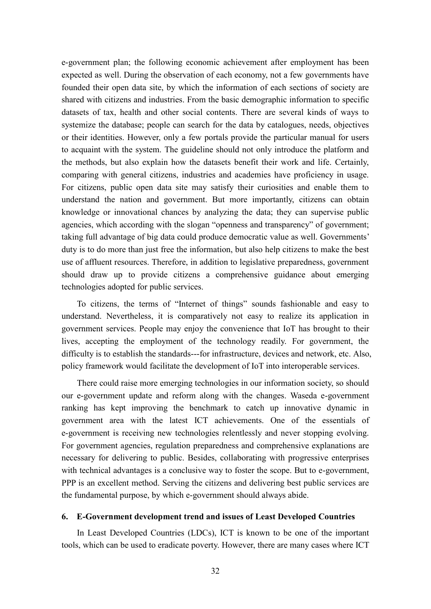e-government plan; the following economic achievement after employment has been expected as well. During the observation of each economy, not a few governments have founded their open data site, by which the information of each sections of society are shared with citizens and industries. From the basic demographic information to specific datasets of tax, health and other social contents. There are several kinds of ways to systemize the database; people can search for the data by catalogues, needs, objectives or their identities. However, only a few portals provide the particular manual for users to acquaint with the system. The guideline should not only introduce the platform and the methods, but also explain how the datasets benefit their work and life. Certainly, comparing with general citizens, industries and academies have proficiency in usage. For citizens, public open data site may satisfy their curiosities and enable them to understand the nation and government. But more importantly, citizens can obtain knowledge or innovational chances by analyzing the data; they can supervise public agencies, which according with the slogan "openness and transparency" of government; taking full advantage of big data could produce democratic value as well. Governments' duty is to do more than just free the information, but also help citizens to make the best use of affluent resources. Therefore, in addition to legislative preparedness, government should draw up to provide citizens a comprehensive guidance about emerging technologies adopted for public services.

To citizens, the terms of "Internet of things" sounds fashionable and easy to understand. Nevertheless, it is comparatively not easy to realize its application in government services. People may enjoy the convenience that IoT has brought to their lives, accepting the employment of the technology readily. For government, the difficulty is to establish the standards---for infrastructure, devices and network, etc. Also, policy framework would facilitate the development of IoT into interoperable services.

There could raise more emerging technologies in our information society, so should our e-government update and reform along with the changes. Waseda e-government ranking has kept improving the benchmark to catch up innovative dynamic in government area with the latest ICT achievements. One of the essentials of e-government is receiving new technologies relentlessly and never stopping evolving. For government agencies, regulation preparedness and comprehensive explanations are necessary for delivering to public. Besides, collaborating with progressive enterprises with technical advantages is a conclusive way to foster the scope. But to e-government, PPP is an excellent method. Serving the citizens and delivering best public services are the fundamental purpose, by which e-government should always abide.

#### **6. E-Government development trend and issues of Least Developed Countries**

In Least Developed Countries (LDCs), ICT is known to be one of the important tools, which can be used to eradicate poverty. However, there are many cases where ICT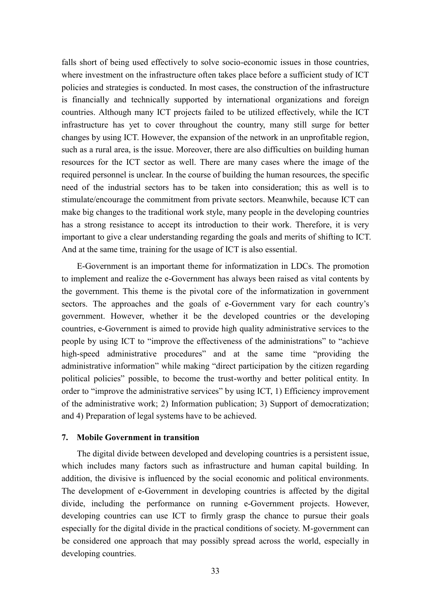falls short of being used effectively to solve socio-economic issues in those countries, where investment on the infrastructure often takes place before a sufficient study of ICT policies and strategies is conducted. In most cases, the construction of the infrastructure is financially and technically supported by international organizations and foreign countries. Although many ICT projects failed to be utilized effectively, while the ICT infrastructure has yet to cover throughout the country, many still surge for better changes by using ICT. However, the expansion of the network in an unprofitable region, such as a rural area, is the issue. Moreover, there are also difficulties on building human resources for the ICT sector as well. There are many cases where the image of the required personnel is unclear. In the course of building the human resources, the specific need of the industrial sectors has to be taken into consideration; this as well is to stimulate/encourage the commitment from private sectors. Meanwhile, because ICT can make big changes to the traditional work style, many people in the developing countries has a strong resistance to accept its introduction to their work. Therefore, it is very important to give a clear understanding regarding the goals and merits of shifting to ICT. And at the same time, training for the usage of ICT is also essential.

E-Government is an important theme for informatization in LDCs. The promotion to implement and realize the e-Government has always been raised as vital contents by the government. This theme is the pivotal core of the informatization in government sectors. The approaches and the goals of e-Government vary for each country's government. However, whether it be the developed countries or the developing countries, e-Government is aimed to provide high quality administrative services to the people by using ICT to "improve the effectiveness of the administrations" to "achieve high-speed administrative procedures" and at the same time "providing the administrative information" while making "direct participation by the citizen regarding political policies" possible, to become the trust-worthy and better political entity. In order to "improve the administrative services" by using ICT, 1) Efficiency improvement of the administrative work; 2) Information publication; 3) Support of democratization; and 4) Preparation of legal systems have to be achieved.

#### **7. Mobile Government in transition**

The digital divide between developed and developing countries is a persistent issue, which includes many factors such as infrastructure and human capital building. In addition, the divisive is influenced by the social economic and political environments. The development of e-Government in developing countries is affected by the digital divide, including the performance on running e-Government projects. However, developing countries can use ICT to firmly grasp the chance to pursue their goals especially for the digital divide in the practical conditions of society. M-government can be considered one approach that may possibly spread across the world, especially in developing countries.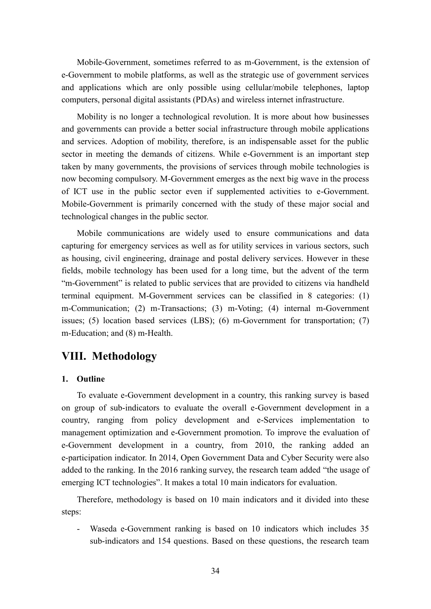Mobile-Government, sometimes referred to as m-Government, is the extension of e-Government to mobile platforms, as well as the strategic use of government services and applications which are only possible using cellular/mobile telephones, laptop computers, personal digital assistants (PDAs) and wireless internet infrastructure.

Mobility is no longer a technological revolution. It is more about how businesses and governments can provide a better social infrastructure through mobile applications and services. Adoption of mobility, therefore, is an indispensable asset for the public sector in meeting the demands of citizens. While e-Government is an important step taken by many governments, the provisions of services through mobile technologies is now becoming compulsory. M-Government emerges as the next big wave in the process of ICT use in the public sector even if supplemented activities to e-Government. Mobile-Government is primarily concerned with the study of these major social and technological changes in the public sector.

Mobile communications are widely used to ensure communications and data capturing for emergency services as well as for utility services in various sectors, such as housing, civil engineering, drainage and postal delivery services. However in these fields, mobile technology has been used for a long time, but the advent of the term "m-Government" is related to public services that are provided to citizens via handheld terminal equipment. M-Government services can be classified in 8 categories: (1) m-Communication; (2) m-Transactions; (3) m-Voting; (4) internal m-Government issues; (5) location based services (LBS); (6) m-Government for transportation; (7) m-Education; and (8) m-Health.

# **VIII. Methodology**

#### **1. Outline**

To evaluate e-Government development in a country, this ranking survey is based on group of sub-indicators to evaluate the overall e-Government development in a country, ranging from policy development and e-Services implementation to management optimization and e-Government promotion. To improve the evaluation of e-Government development in a country, from 2010, the ranking added an e-participation indicator. In 2014, Open Government Data and Cyber Security were also added to the ranking. In the 2016 ranking survey, the research team added "the usage of emerging ICT technologies". It makes a total 10 main indicators for evaluation.

Therefore, methodology is based on 10 main indicators and it divided into these steps:<br>- Waseda e-Government ranking is based on 10 indicators which includes 35

sub-indicators and 154 questions. Based on these questions, the research team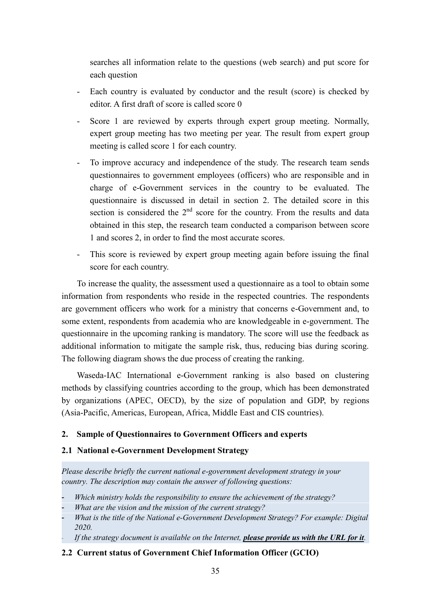searches all information relate to the questions (web search) and put score for each question

- Each country is evaluated by conductor and the result (score) is checked by editor. A first draft of score is called score 0
- Score 1 are reviewed by experts through expert group meeting. Normally, expert group meeting has two meeting per year. The result from expert group meeting is called score 1 for each country.
- To improve accuracy and independence of the study. The research team sends questionnaires to government employees (officers) who are responsible and in charge of e-Government services in the country to be evaluated. The questionnaire is discussed in detail in section 2. The detailed score in this section is considered the  $2<sup>nd</sup>$  score for the country. From the results and data obtained in this step, the research team conducted a comparison between score 1 and scores 2, in order to find the most accurate scores.
- This score is reviewed by expert group meeting again before issuing the final score for each country.

To increase the quality, the assessment used a questionnaire as a tool to obtain some information from respondents who reside in the respected countries. The respondents are government officers who work for a ministry that concerns e-Government and, to some extent, respondents from academia who are knowledgeable in e-government. The questionnaire in the upcoming ranking is mandatory. The score will use the feedback as additional information to mitigate the sample risk, thus, reducing bias during scoring. The following diagram shows the due process of creating the ranking.

Waseda-IAC International e-Government ranking is also based on clustering methods by classifying countries according to the group, which has been demonstrated by organizations (APEC, OECD), by the size of population and GDP, by regions (Asia-Pacific, Americas, European, Africa, Middle East and CIS countries).

#### **2. Sample of Questionnaires to Government Officers and experts**

#### **2.1 National e-Government Development Strategy**

*Please describe briefly the current national e-government development strategy in your country. The description may contain the answer of following questions:*

- *Which ministry holds the responsibility to ensure the achievement of the strategy?*
- *What are the vision and the mission of the current strategy?*
- *What is the title of the National e-Government Development Strategy? For example: Digital 2020.*
- *If the strategy document is available on the Internet, please provide us with the URL for it.*

#### **2.2 Current status of Government Chief Information Officer (GCIO)**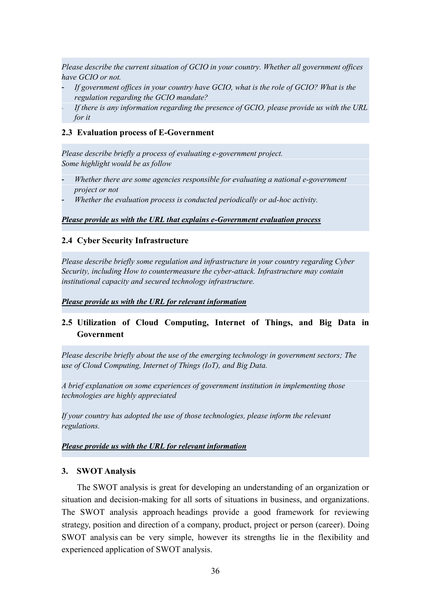*Please describe the current situation of GCIO in your country. Whether all government offices have GCIO or not.*

- *If government offices in your country have GCIO, what is the role of GCIO? What is the regulation regarding the GCIO mandate?*
- *If there is any information regarding the presence of GCIO, please provide us with the URL for it*

#### **2.3 Evaluation process of E-Government**

*Please describe briefly a process of evaluating e-government project. Some highlight would be as follow*

- *Whether there are some agencies responsible for evaluating a national e-government project or not*
- *Whether the evaluation process is conducted periodically or ad-hoc activity.*

#### *Please provide us with the URL that explains e-Government evaluation process*

#### **2.4 Cyber Security Infrastructure**

*Please describe briefly some regulation and infrastructure in your country regarding Cyber Security, including How to countermeasure the cyber-attack. Infrastructure may contain institutional capacity and secured technology infrastructure.*

#### *Please provide us with the URL for relevant information*

### **2.5 Utilization of Cloud Computing, Internet of Things, and Big Data in Government**

*Please describe briefly about the use of the emerging technology in government sectors; The use of Cloud Computing, Internet of Things (IoT), and Big Data.*

*A brief explanation on some experiences of government institution in implementing those technologies are highly appreciated*

*If your country has adopted the use of those technologies, please inform the relevant regulations.*

*Please provide us with the URL for relevant information*

#### **3. SWOT Analysis**

The SWOT analysis is great for developing an understanding of an organization or situation and decision-making for all sorts of situations in business, and organizations. The SWOT analysis approach headings provide a good framework for reviewing strategy, position and direction of a company, product, project or person (career). Doing SWOT analysis can be very simple, however its strengths lie in the flexibility and experienced application of SWOT analysis.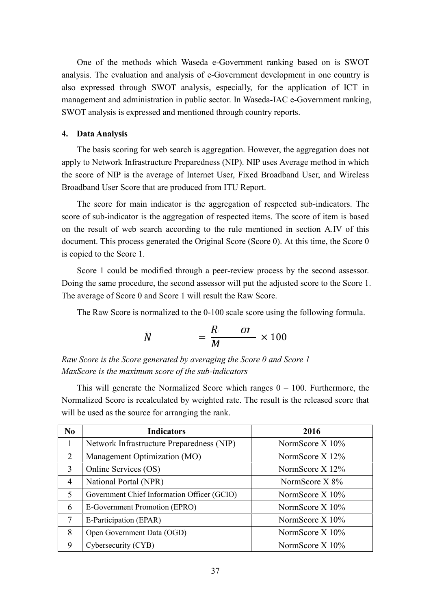One of the methods which Waseda e-Government ranking based on is SWOT analysis. The evaluation and analysis of e-Government development in one country is also expressed through SWOT analysis, especially, for the application of ICT in management and administration in public sector. In Waseda-IAC e-Government ranking, SWOT analysis is expressed and mentioned through country reports.

#### **4. Data Analysis**

The basis scoring for web search is aggregation. However, the aggregation does not apply to Network Infrastructure Preparedness (NIP). NIP uses Average method in which the score of NIP is the average of Internet User, Fixed Broadband User, and Wireless Broadband User Score that are produced from ITU Report.

The score for main indicator is the aggregation of respected sub-indicators. The score of sub-indicator is the aggregation of respected items. The score of item is based on the result of web search according to the rule mentioned in section A.IV of this document. This process generated the Original Score (Score 0). At this time, the Score 0 is copied to the Score 1.

Score 1 could be modified through a peer-review process by the second assessor. Doing the same procedure, the second assessor will put the adjusted score to the Score 1. The average of Score 0 and Score 1 will result the Raw Score.

The Raw Score is normalized to the 0-100 scale score using the following formula.

$$
N = \frac{R}{M} \times 100
$$

*Raw Score is the Score generated by averaging the Score 0 and Score 1 MaxScore is the maximum score of the sub-indicators*

This will generate the Normalized Score which ranges  $0 - 100$ . Furthermore, the Normalized Score is recalculated by weighted rate. The result is the released score that will be used as the source for arranging the rank.

| N <sub>0</sub> | <b>Indicators</b>                           | 2016              |
|----------------|---------------------------------------------|-------------------|
|                | Network Infrastructure Preparedness (NIP)   | NormScore $X$ 10% |
| 2              | Management Optimization (MO)                | NormScore $X$ 12% |
| 3              | Online Services (OS)                        | NormScore X 12%   |
| 4              | National Portal (NPR)                       | NormScore $X 8%$  |
| 5              | Government Chief Information Officer (GCIO) | NormScore $X$ 10% |
| 6              | E-Government Promotion (EPRO)               | NormScore $X$ 10% |
|                | E-Participation (EPAR)                      | NormScore $X$ 10% |
| 8              | Open Government Data (OGD)                  | NormScore X 10%   |
| 9              | Cybersecurity (CYB)                         | NormScore $X$ 10% |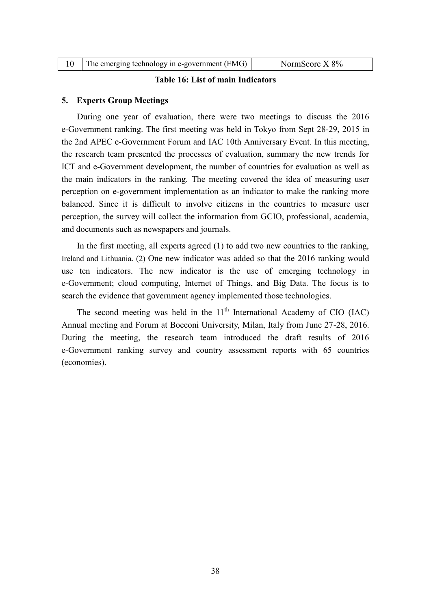| The emerging technology in e-government (EMG) | NormScore $X 8\%$ |
|-----------------------------------------------|-------------------|
|-----------------------------------------------|-------------------|

#### **Table 16: List of main Indicators**

#### **5. Experts Group Meetings**

During one year of evaluation, there were two meetings to discuss the 2016 e-Government ranking. The first meeting was held in Tokyo from Sept 28-29, 2015 in the 2nd APEC e-Government Forum and IAC 10th Anniversary Event. In this meeting, the research team presented the processes of evaluation, summary the new trends for ICT and e-Government development, the number of countries for evaluation as well as the main indicators in the ranking. The meeting covered the idea of measuring user perception on e-government implementation as an indicator to make the ranking more balanced. Since it is difficult to involve citizens in the countries to measure user perception, the survey will collect the information from GCIO, professional, academia, and documents such as newspapers and journals.

In the first meeting, all experts agreed (1) to add two new countries to the ranking, Ireland and Lithuania. (2) One new indicator was added so that the 2016 ranking would use ten indicators. The new indicator is the use of emerging technology in e-Government; cloud computing, Internet of Things, and Big Data. The focus is to search the evidence that government agency implemented those technologies.

The second meeting was held in the  $11<sup>th</sup>$  International Academy of CIO (IAC) Annual meeting and Forum at Bocconi University, Milan, Italy from June 27-28, 2016. During the meeting, the research team introduced the draft results of 2016 e-Government ranking survey and country assessment reports with 65 countries (economies).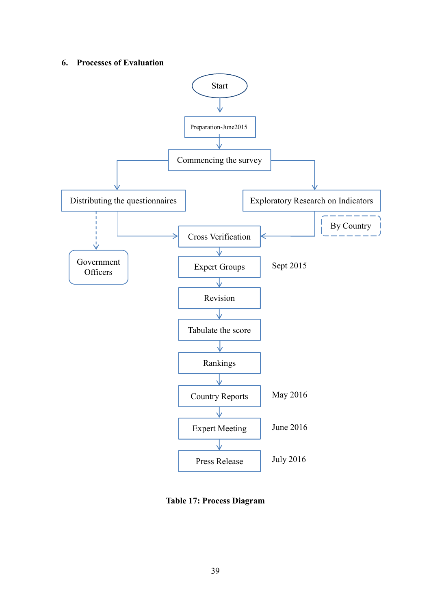#### **6. Processes of Evaluation**



**Table 17: Process Diagram**